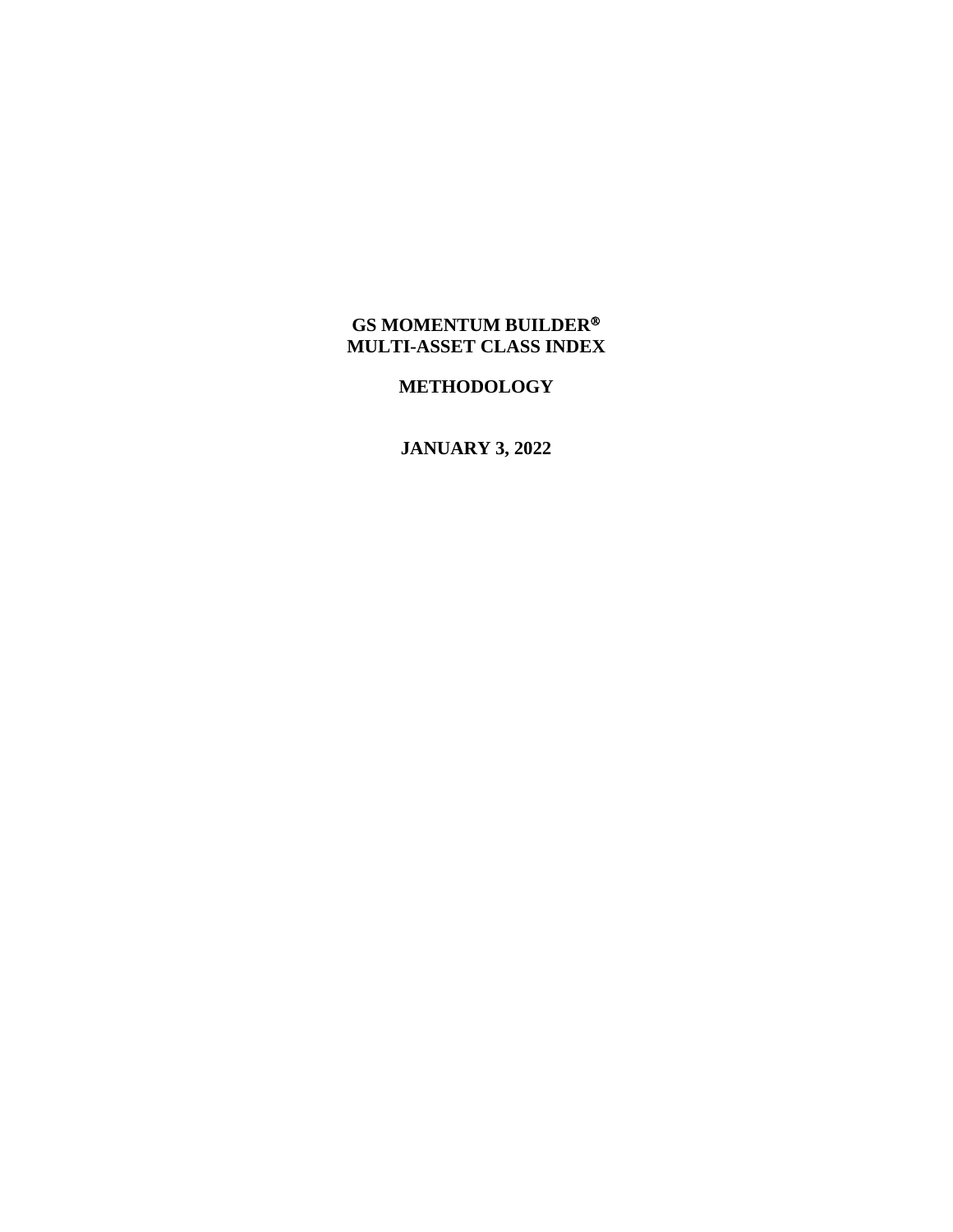## **GS MOMENTUM BUILDER MULTI-ASSET CLASS INDEX**

## **METHODOLOGY**

**JANUARY 3, 2022**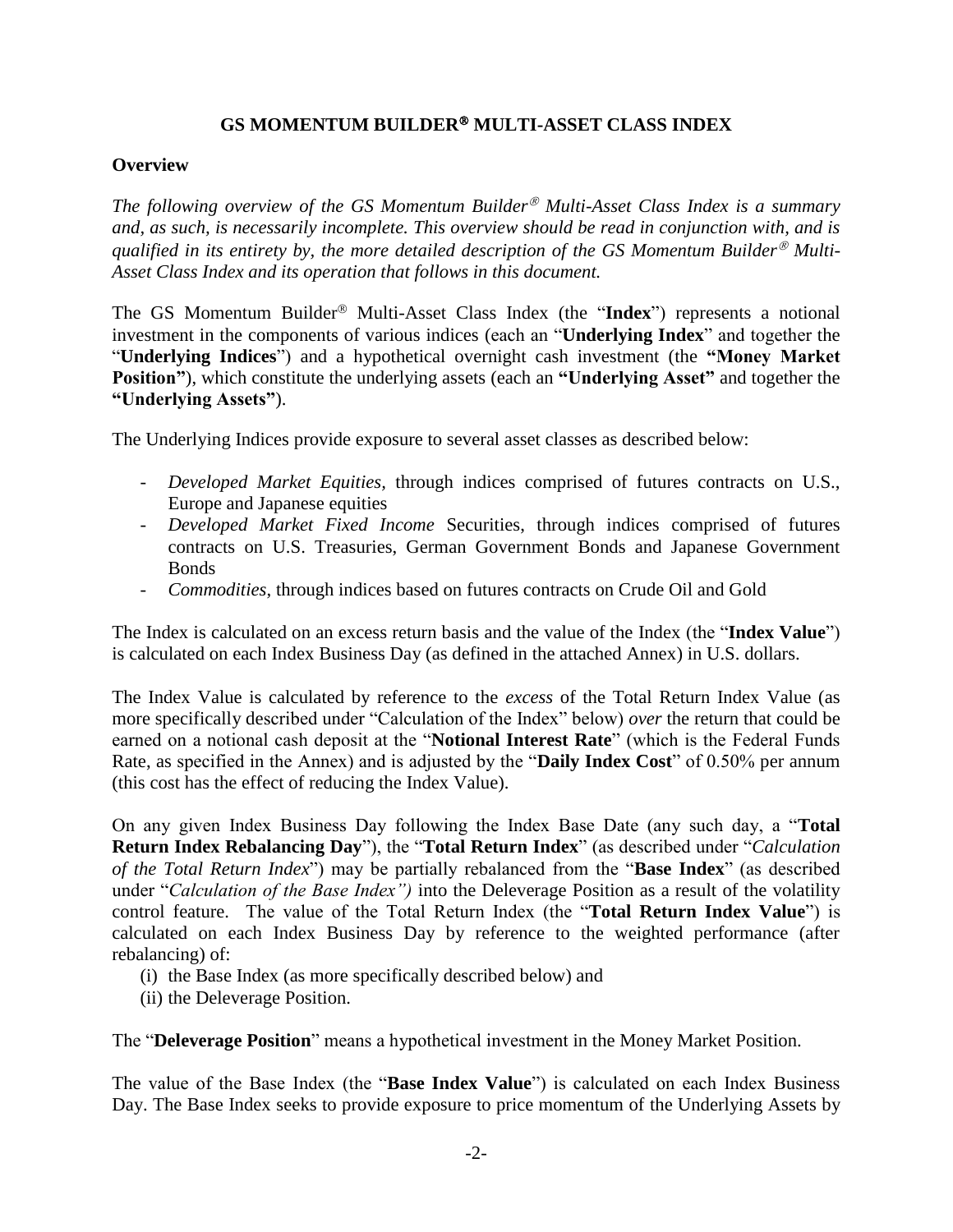## **GS MOMENTUM BUILDER MULTI-ASSET CLASS INDEX**

#### **Overview**

*The following overview of the GS Momentum Builder*<sup>®</sup> *Multi-Asset Class Index is a summary and, as such, is necessarily incomplete. This overview should be read in conjunction with, and is dualified in its entirety by, the more detailed description of the GS Momentum Builder<sup>®</sup> Multi-Asset Class Index and its operation that follows in this document.*

The GS Momentum Builder<sup>®</sup> Multi-Asset Class Index (the "Index") represents a notional investment in the components of various indices (each an "**Underlying Index**" and together the "**Underlying Indices**") and a hypothetical overnight cash investment (the **"Money Market Position"**), which constitute the underlying assets (each an **"Underlying Asset"** and together the **"Underlying Assets"**).

The Underlying Indices provide exposure to several asset classes as described below:

- *Developed Market Equities,* through indices comprised of futures contracts on U.S., Europe and Japanese equities
- *Developed Market Fixed Income* Securities, through indices comprised of futures contracts on U.S. Treasuries, German Government Bonds and Japanese Government **Bonds**
- *Commodities*, through indices based on futures contracts on Crude Oil and Gold

The Index is calculated on an excess return basis and the value of the Index (the "**Index Value**") is calculated on each Index Business Day (as defined in the attached Annex) in U.S. dollars.

The Index Value is calculated by reference to the *excess* of the Total Return Index Value (as more specifically described under "Calculation of the Index" below) *over* the return that could be earned on a notional cash deposit at the "**Notional Interest Rate**" (which is the Federal Funds Rate, as specified in the Annex) and is adjusted by the "**Daily Index Cost**" of 0.50% per annum (this cost has the effect of reducing the Index Value).

On any given Index Business Day following the Index Base Date (any such day, a "**Total Return Index Rebalancing Day**"), the "**Total Return Index**" (as described under "*Calculation of the Total Return Index*") may be partially rebalanced from the "**Base Index**" (as described under "*Calculation of the Base Index")* into the Deleverage Position as a result of the volatility control feature. The value of the Total Return Index (the "**Total Return Index Value**") is calculated on each Index Business Day by reference to the weighted performance (after rebalancing) of:

- (i) the Base Index (as more specifically described below) and
- (ii) the Deleverage Position.

The "**Deleverage Position**" means a hypothetical investment in the Money Market Position.

The value of the Base Index (the "**Base Index Value**") is calculated on each Index Business Day. The Base Index seeks to provide exposure to price momentum of the Underlying Assets by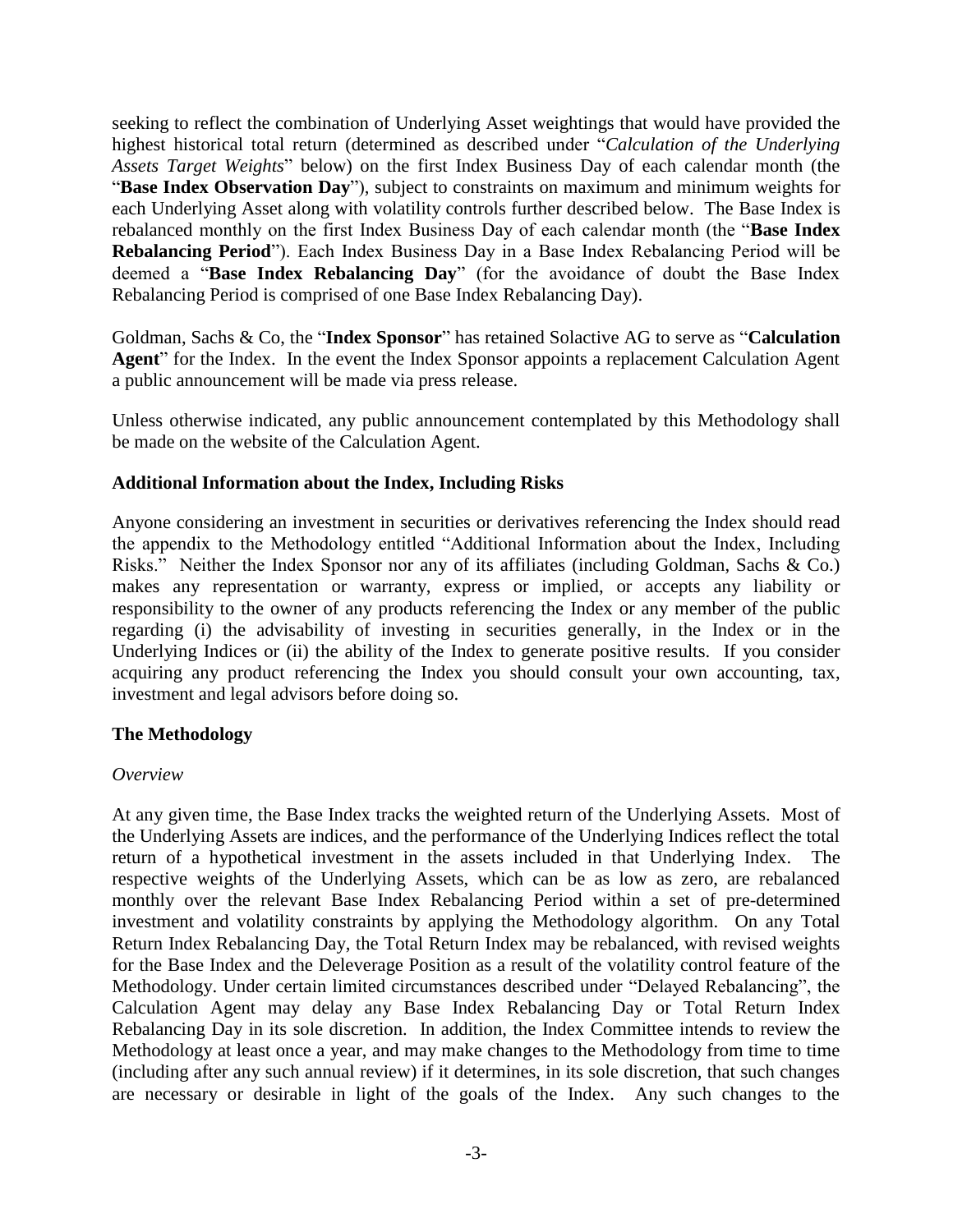seeking to reflect the combination of Underlying Asset weightings that would have provided the highest historical total return (determined as described under "*Calculation of the Underlying Assets Target Weights*" below) on the first Index Business Day of each calendar month (the "**Base Index Observation Day**"), subject to constraints on maximum and minimum weights for each Underlying Asset along with volatility controls further described below. The Base Index is rebalanced monthly on the first Index Business Day of each calendar month (the "**Base Index Rebalancing Period**"). Each Index Business Day in a Base Index Rebalancing Period will be deemed a "**Base Index Rebalancing Day**" (for the avoidance of doubt the Base Index Rebalancing Period is comprised of one Base Index Rebalancing Day).

Goldman, Sachs & Co, the "**Index Sponsor**" has retained Solactive AG to serve as "**Calculation Agent**" for the Index. In the event the Index Sponsor appoints a replacement Calculation Agent a public announcement will be made via press release.

Unless otherwise indicated, any public announcement contemplated by this Methodology shall be made on the website of the Calculation Agent.

#### **Additional Information about the Index, Including Risks**

Anyone considering an investment in securities or derivatives referencing the Index should read the appendix to the Methodology entitled "Additional Information about the Index, Including Risks." Neither the Index Sponsor nor any of its affiliates (including Goldman, Sachs & Co.) makes any representation or warranty, express or implied, or accepts any liability or responsibility to the owner of any products referencing the Index or any member of the public regarding (i) the advisability of investing in securities generally, in the Index or in the Underlying Indices or (ii) the ability of the Index to generate positive results. If you consider acquiring any product referencing the Index you should consult your own accounting, tax, investment and legal advisors before doing so.

## **The Methodology**

#### *Overview*

At any given time, the Base Index tracks the weighted return of the Underlying Assets. Most of the Underlying Assets are indices, and the performance of the Underlying Indices reflect the total return of a hypothetical investment in the assets included in that Underlying Index. The respective weights of the Underlying Assets, which can be as low as zero, are rebalanced monthly over the relevant Base Index Rebalancing Period within a set of pre-determined investment and volatility constraints by applying the Methodology algorithm. On any Total Return Index Rebalancing Day, the Total Return Index may be rebalanced, with revised weights for the Base Index and the Deleverage Position as a result of the volatility control feature of the Methodology. Under certain limited circumstances described under "Delayed Rebalancing", the Calculation Agent may delay any Base Index Rebalancing Day or Total Return Index Rebalancing Day in its sole discretion. In addition, the Index Committee intends to review the Methodology at least once a year, and may make changes to the Methodology from time to time (including after any such annual review) if it determines, in its sole discretion, that such changes are necessary or desirable in light of the goals of the Index. Any such changes to the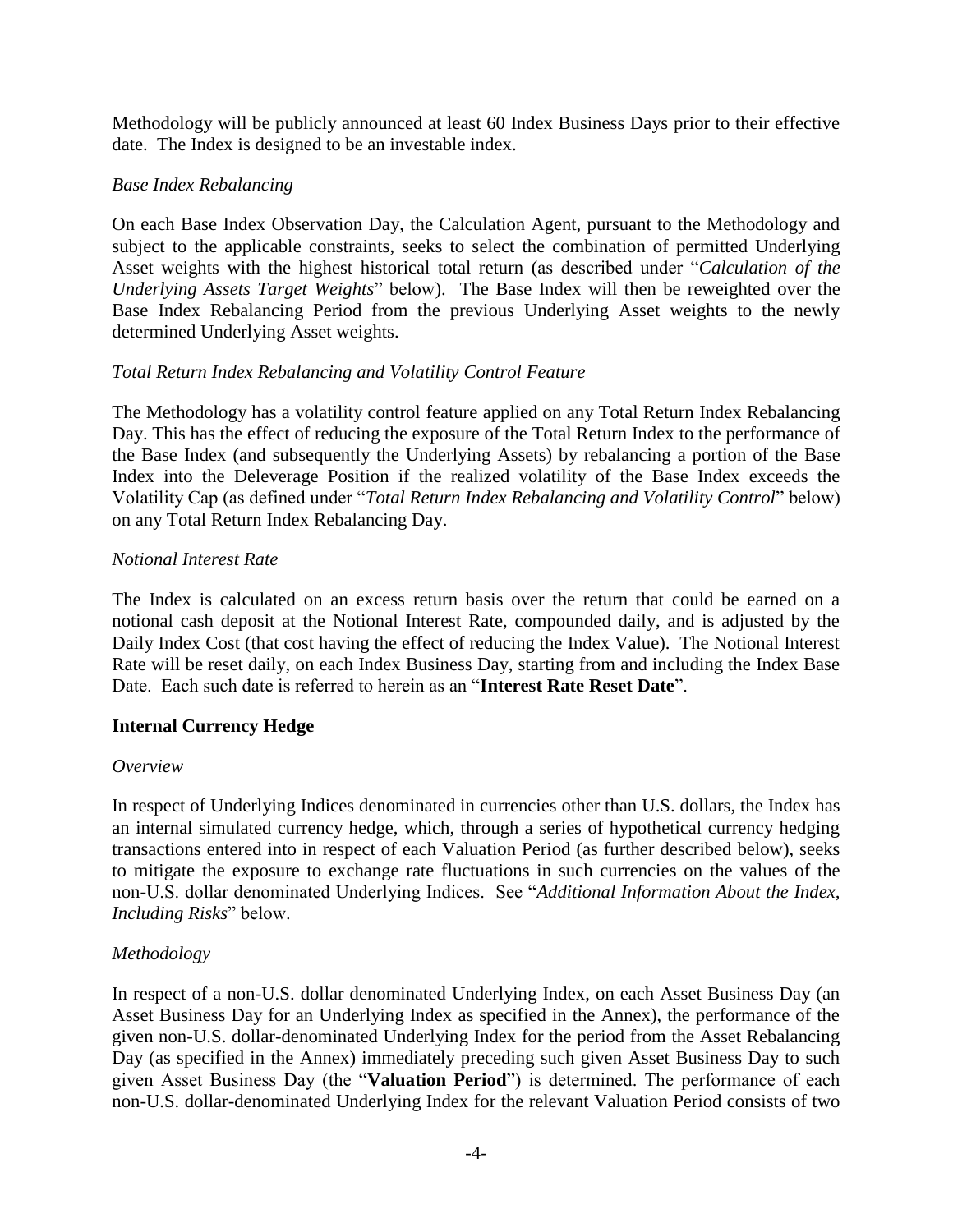Methodology will be publicly announced at least 60 Index Business Days prior to their effective date. The Index is designed to be an investable index.

## *Base Index Rebalancing*

On each Base Index Observation Day, the Calculation Agent, pursuant to the Methodology and subject to the applicable constraints, seeks to select the combination of permitted Underlying Asset weights with the highest historical total return (as described under "*Calculation of the Underlying Assets Target Weights*" below). The Base Index will then be reweighted over the Base Index Rebalancing Period from the previous Underlying Asset weights to the newly determined Underlying Asset weights.

## *Total Return Index Rebalancing and Volatility Control Feature*

The Methodology has a volatility control feature applied on any Total Return Index Rebalancing Day. This has the effect of reducing the exposure of the Total Return Index to the performance of the Base Index (and subsequently the Underlying Assets) by rebalancing a portion of the Base Index into the Deleverage Position if the realized volatility of the Base Index exceeds the Volatility Cap (as defined under "*Total Return Index Rebalancing and Volatility Control*" below) on any Total Return Index Rebalancing Day.

## *Notional Interest Rate*

The Index is calculated on an excess return basis over the return that could be earned on a notional cash deposit at the Notional Interest Rate, compounded daily, and is adjusted by the Daily Index Cost (that cost having the effect of reducing the Index Value). The Notional Interest Rate will be reset daily, on each Index Business Day, starting from and including the Index Base Date. Each such date is referred to herein as an "**Interest Rate Reset Date**".

## **Internal Currency Hedge**

## *Overview*

In respect of Underlying Indices denominated in currencies other than U.S. dollars, the Index has an internal simulated currency hedge, which, through a series of hypothetical currency hedging transactions entered into in respect of each Valuation Period (as further described below), seeks to mitigate the exposure to exchange rate fluctuations in such currencies on the values of the non-U.S. dollar denominated Underlying Indices. See "*Additional Information About the Index, Including Risks*" below.

## *Methodology*

In respect of a non-U.S. dollar denominated Underlying Index, on each Asset Business Day (an Asset Business Day for an Underlying Index as specified in the Annex), the performance of the given non-U.S. dollar-denominated Underlying Index for the period from the Asset Rebalancing Day (as specified in the Annex) immediately preceding such given Asset Business Day to such given Asset Business Day (the "**Valuation Period**") is determined. The performance of each non-U.S. dollar-denominated Underlying Index for the relevant Valuation Period consists of two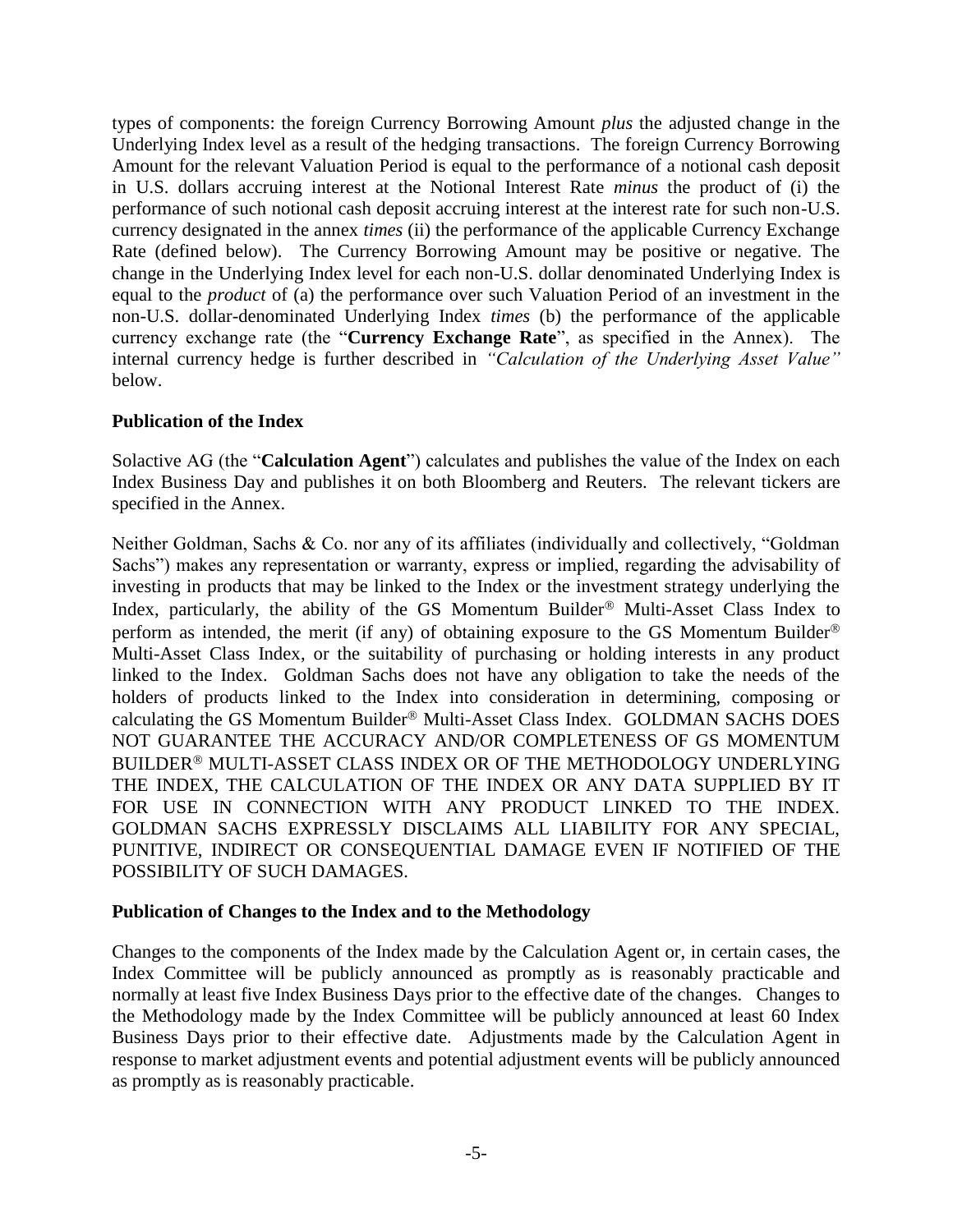types of components: the foreign Currency Borrowing Amount *plus* the adjusted change in the Underlying Index level as a result of the hedging transactions. The foreign Currency Borrowing Amount for the relevant Valuation Period is equal to the performance of a notional cash deposit in U.S. dollars accruing interest at the Notional Interest Rate *minus* the product of (i) the performance of such notional cash deposit accruing interest at the interest rate for such non-U.S. currency designated in the annex *times* (ii) the performance of the applicable Currency Exchange Rate (defined below). The Currency Borrowing Amount may be positive or negative. The change in the Underlying Index level for each non-U.S. dollar denominated Underlying Index is equal to the *product* of (a) the performance over such Valuation Period of an investment in the non-U.S. dollar-denominated Underlying Index *times* (b) the performance of the applicable currency exchange rate (the "**Currency Exchange Rate**", as specified in the Annex). The internal currency hedge is further described in *"Calculation of the Underlying Asset Value"* below.

#### **Publication of the Index**

Solactive AG (the "**Calculation Agent**") calculates and publishes the value of the Index on each Index Business Day and publishes it on both Bloomberg and Reuters. The relevant tickers are specified in the Annex.

Neither Goldman, Sachs & Co. nor any of its affiliates (individually and collectively, "Goldman Sachs") makes any representation or warranty, express or implied, regarding the advisability of investing in products that may be linked to the Index or the investment strategy underlying the Index, particularly, the ability of the GS Momentum Builder<sup>®</sup> Multi-Asset Class Index to perform as intended, the merit (if any) of obtaining exposure to the GS Momentum Builder<sup>®</sup> Multi-Asset Class Index, or the suitability of purchasing or holding interests in any product linked to the Index. Goldman Sachs does not have any obligation to take the needs of the holders of products linked to the Index into consideration in determining, composing or calculating the GS Momentum Builder® Multi-Asset Class Index. GOLDMAN SACHS DOES NOT GUARANTEE THE ACCURACY AND/OR COMPLETENESS OF GS MOMENTUM BUILDER<sup>®</sup> MULTI-ASSET CLASS INDEX OR OF THE METHODOLOGY UNDERLYING THE INDEX, THE CALCULATION OF THE INDEX OR ANY DATA SUPPLIED BY IT FOR USE IN CONNECTION WITH ANY PRODUCT LINKED TO THE INDEX. GOLDMAN SACHS EXPRESSLY DISCLAIMS ALL LIABILITY FOR ANY SPECIAL, PUNITIVE, INDIRECT OR CONSEQUENTIAL DAMAGE EVEN IF NOTIFIED OF THE POSSIBILITY OF SUCH DAMAGES.

#### **Publication of Changes to the Index and to the Methodology**

Changes to the components of the Index made by the Calculation Agent or, in certain cases, the Index Committee will be publicly announced as promptly as is reasonably practicable and normally at least five Index Business Days prior to the effective date of the changes. Changes to the Methodology made by the Index Committee will be publicly announced at least 60 Index Business Days prior to their effective date. Adjustments made by the Calculation Agent in response to market adjustment events and potential adjustment events will be publicly announced as promptly as is reasonably practicable.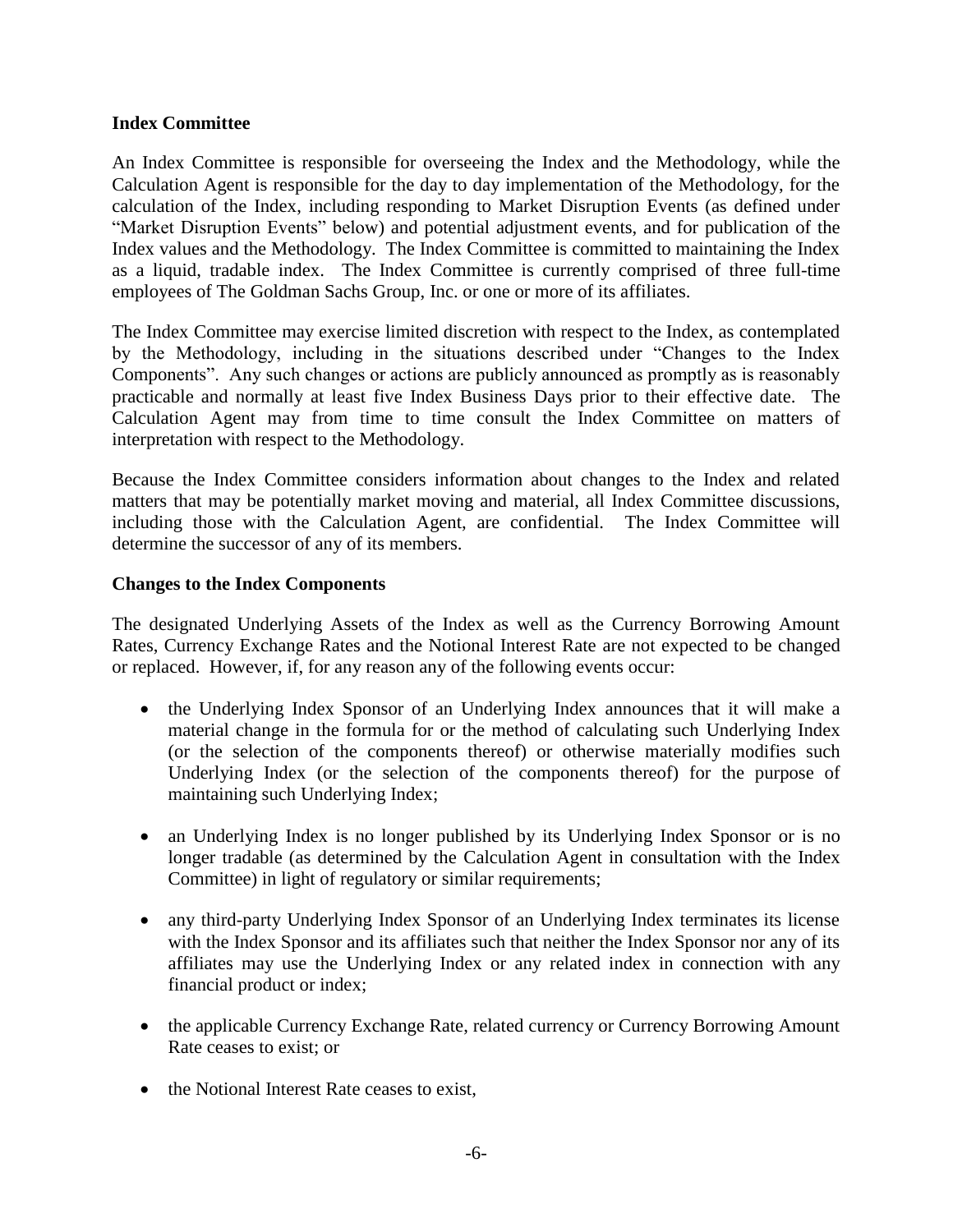#### **Index Committee**

An Index Committee is responsible for overseeing the Index and the Methodology, while the Calculation Agent is responsible for the day to day implementation of the Methodology, for the calculation of the Index, including responding to Market Disruption Events (as defined under "Market Disruption Events" below) and potential adjustment events, and for publication of the Index values and the Methodology. The Index Committee is committed to maintaining the Index as a liquid, tradable index. The Index Committee is currently comprised of three full-time employees of The Goldman Sachs Group, Inc. or one or more of its affiliates.

The Index Committee may exercise limited discretion with respect to the Index, as contemplated by the Methodology, including in the situations described under "Changes to the Index Components". Any such changes or actions are publicly announced as promptly as is reasonably practicable and normally at least five Index Business Days prior to their effective date. The Calculation Agent may from time to time consult the Index Committee on matters of interpretation with respect to the Methodology.

Because the Index Committee considers information about changes to the Index and related matters that may be potentially market moving and material, all Index Committee discussions, including those with the Calculation Agent, are confidential. The Index Committee will determine the successor of any of its members.

#### **Changes to the Index Components**

The designated Underlying Assets of the Index as well as the Currency Borrowing Amount Rates, Currency Exchange Rates and the Notional Interest Rate are not expected to be changed or replaced. However, if, for any reason any of the following events occur:

- the Underlying Index Sponsor of an Underlying Index announces that it will make a material change in the formula for or the method of calculating such Underlying Index (or the selection of the components thereof) or otherwise materially modifies such Underlying Index (or the selection of the components thereof) for the purpose of maintaining such Underlying Index;
- an Underlying Index is no longer published by its Underlying Index Sponsor or is no longer tradable (as determined by the Calculation Agent in consultation with the Index Committee) in light of regulatory or similar requirements;
- any third-party Underlying Index Sponsor of an Underlying Index terminates its license with the Index Sponsor and its affiliates such that neither the Index Sponsor nor any of its affiliates may use the Underlying Index or any related index in connection with any financial product or index;
- the applicable Currency Exchange Rate, related currency or Currency Borrowing Amount Rate ceases to exist; or
- the Notional Interest Rate ceases to exist,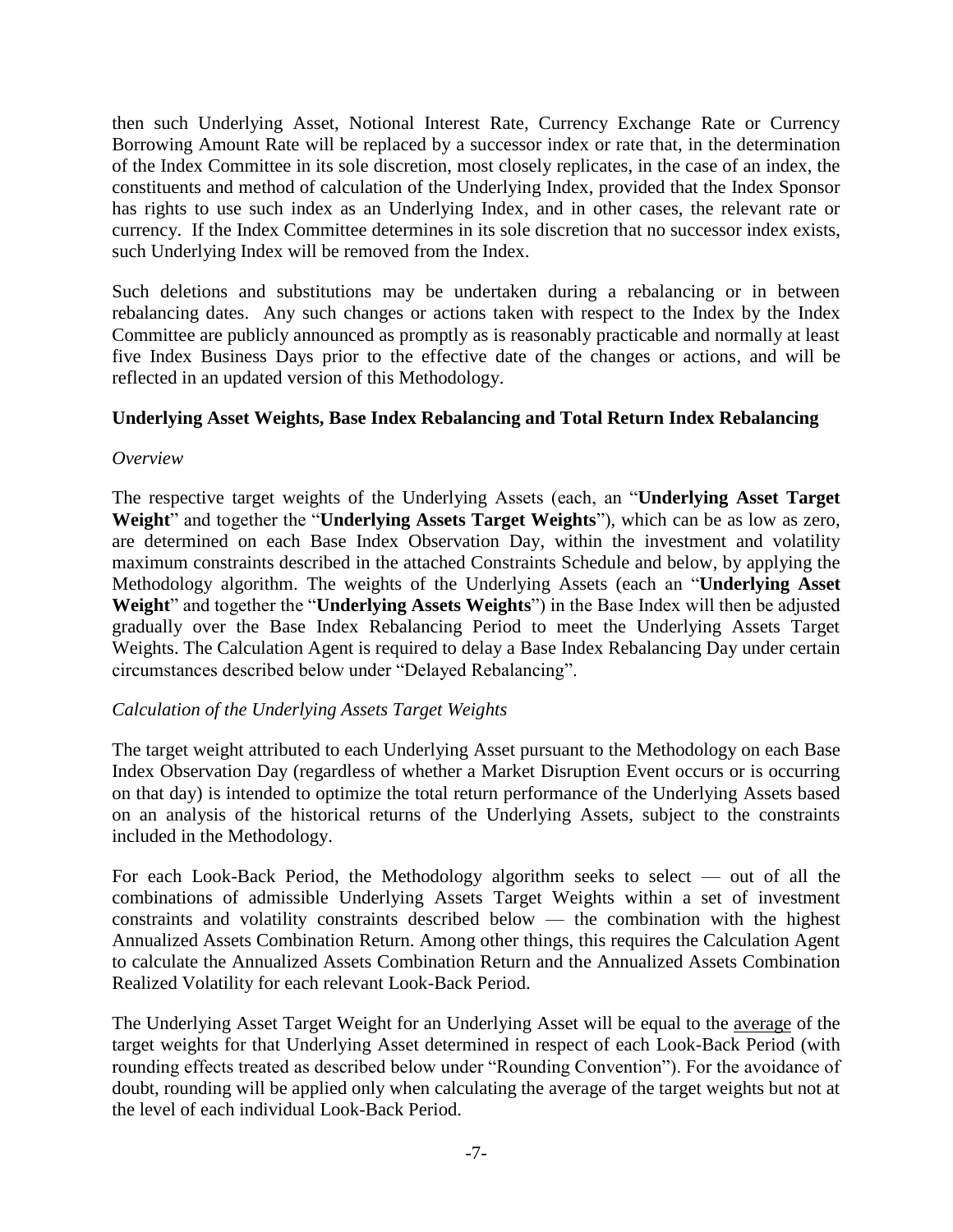then such Underlying Asset, Notional Interest Rate, Currency Exchange Rate or Currency Borrowing Amount Rate will be replaced by a successor index or rate that, in the determination of the Index Committee in its sole discretion, most closely replicates, in the case of an index, the constituents and method of calculation of the Underlying Index, provided that the Index Sponsor has rights to use such index as an Underlying Index, and in other cases, the relevant rate or currency. If the Index Committee determines in its sole discretion that no successor index exists, such Underlying Index will be removed from the Index.

Such deletions and substitutions may be undertaken during a rebalancing or in between rebalancing dates. Any such changes or actions taken with respect to the Index by the Index Committee are publicly announced as promptly as is reasonably practicable and normally at least five Index Business Days prior to the effective date of the changes or actions, and will be reflected in an updated version of this Methodology.

#### **Underlying Asset Weights, Base Index Rebalancing and Total Return Index Rebalancing**

#### *Overview*

The respective target weights of the Underlying Assets (each, an "**Underlying Asset Target Weight**" and together the "**Underlying Assets Target Weights**"), which can be as low as zero, are determined on each Base Index Observation Day, within the investment and volatility maximum constraints described in the attached Constraints Schedule and below, by applying the Methodology algorithm. The weights of the Underlying Assets (each an "**Underlying Asset Weight**" and together the "**Underlying Assets Weights**") in the Base Index will then be adjusted gradually over the Base Index Rebalancing Period to meet the Underlying Assets Target Weights. The Calculation Agent is required to delay a Base Index Rebalancing Day under certain circumstances described below under "Delayed Rebalancing".

## *Calculation of the Underlying Assets Target Weights*

The target weight attributed to each Underlying Asset pursuant to the Methodology on each Base Index Observation Day (regardless of whether a Market Disruption Event occurs or is occurring on that day) is intended to optimize the total return performance of the Underlying Assets based on an analysis of the historical returns of the Underlying Assets, subject to the constraints included in the Methodology.

For each Look-Back Period, the Methodology algorithm seeks to select — out of all the combinations of admissible Underlying Assets Target Weights within a set of investment constraints and volatility constraints described below — the combination with the highest Annualized Assets Combination Return. Among other things, this requires the Calculation Agent to calculate the Annualized Assets Combination Return and the Annualized Assets Combination Realized Volatility for each relevant Look-Back Period.

The Underlying Asset Target Weight for an Underlying Asset will be equal to the average of the target weights for that Underlying Asset determined in respect of each Look-Back Period (with rounding effects treated as described below under "Rounding Convention"). For the avoidance of doubt, rounding will be applied only when calculating the average of the target weights but not at the level of each individual Look-Back Period.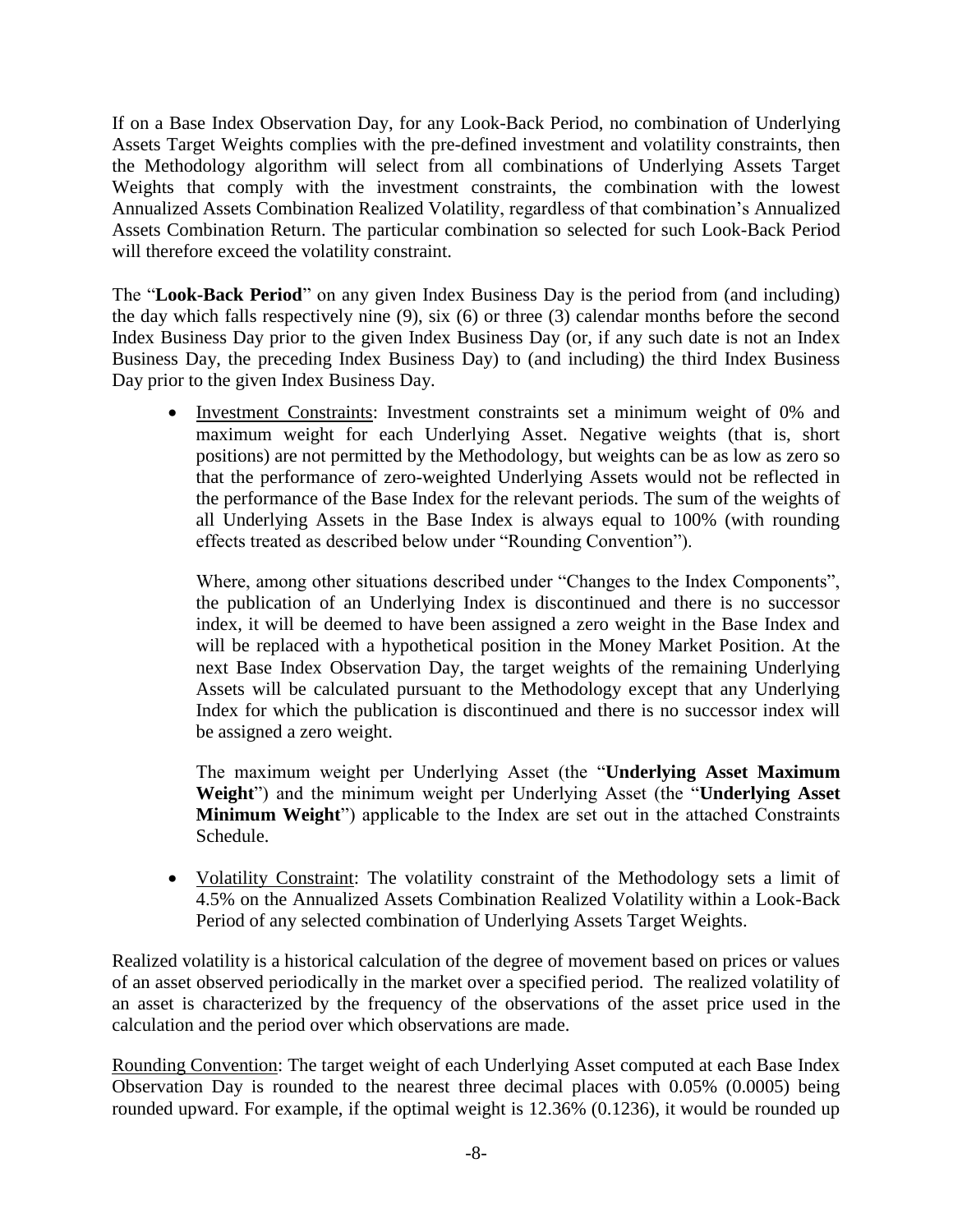If on a Base Index Observation Day, for any Look-Back Period, no combination of Underlying Assets Target Weights complies with the pre-defined investment and volatility constraints, then the Methodology algorithm will select from all combinations of Underlying Assets Target Weights that comply with the investment constraints, the combination with the lowest Annualized Assets Combination Realized Volatility, regardless of that combination's Annualized Assets Combination Return. The particular combination so selected for such Look-Back Period will therefore exceed the volatility constraint.

The "**Look-Back Period**" on any given Index Business Day is the period from (and including) the day which falls respectively nine (9), six (6) or three (3) calendar months before the second Index Business Day prior to the given Index Business Day (or, if any such date is not an Index Business Day, the preceding Index Business Day) to (and including) the third Index Business Day prior to the given Index Business Day.

• Investment Constraints: Investment constraints set a minimum weight of 0% and maximum weight for each Underlying Asset. Negative weights (that is, short positions) are not permitted by the Methodology, but weights can be as low as zero so that the performance of zero-weighted Underlying Assets would not be reflected in the performance of the Base Index for the relevant periods. The sum of the weights of all Underlying Assets in the Base Index is always equal to 100% (with rounding effects treated as described below under "Rounding Convention").

Where, among other situations described under "Changes to the Index Components", the publication of an Underlying Index is discontinued and there is no successor index, it will be deemed to have been assigned a zero weight in the Base Index and will be replaced with a hypothetical position in the Money Market Position. At the next Base Index Observation Day, the target weights of the remaining Underlying Assets will be calculated pursuant to the Methodology except that any Underlying Index for which the publication is discontinued and there is no successor index will be assigned a zero weight.

The maximum weight per Underlying Asset (the "**Underlying Asset Maximum Weight**") and the minimum weight per Underlying Asset (the "**Underlying Asset Minimum Weight**") applicable to the Index are set out in the attached Constraints Schedule.

• Volatility Constraint: The volatility constraint of the Methodology sets a limit of 4.5% on the Annualized Assets Combination Realized Volatility within a Look-Back Period of any selected combination of Underlying Assets Target Weights.

Realized volatility is a historical calculation of the degree of movement based on prices or values of an asset observed periodically in the market over a specified period. The realized volatility of an asset is characterized by the frequency of the observations of the asset price used in the calculation and the period over which observations are made.

Rounding Convention: The target weight of each Underlying Asset computed at each Base Index Observation Day is rounded to the nearest three decimal places with 0.05% (0.0005) being rounded upward. For example, if the optimal weight is 12.36% (0.1236), it would be rounded up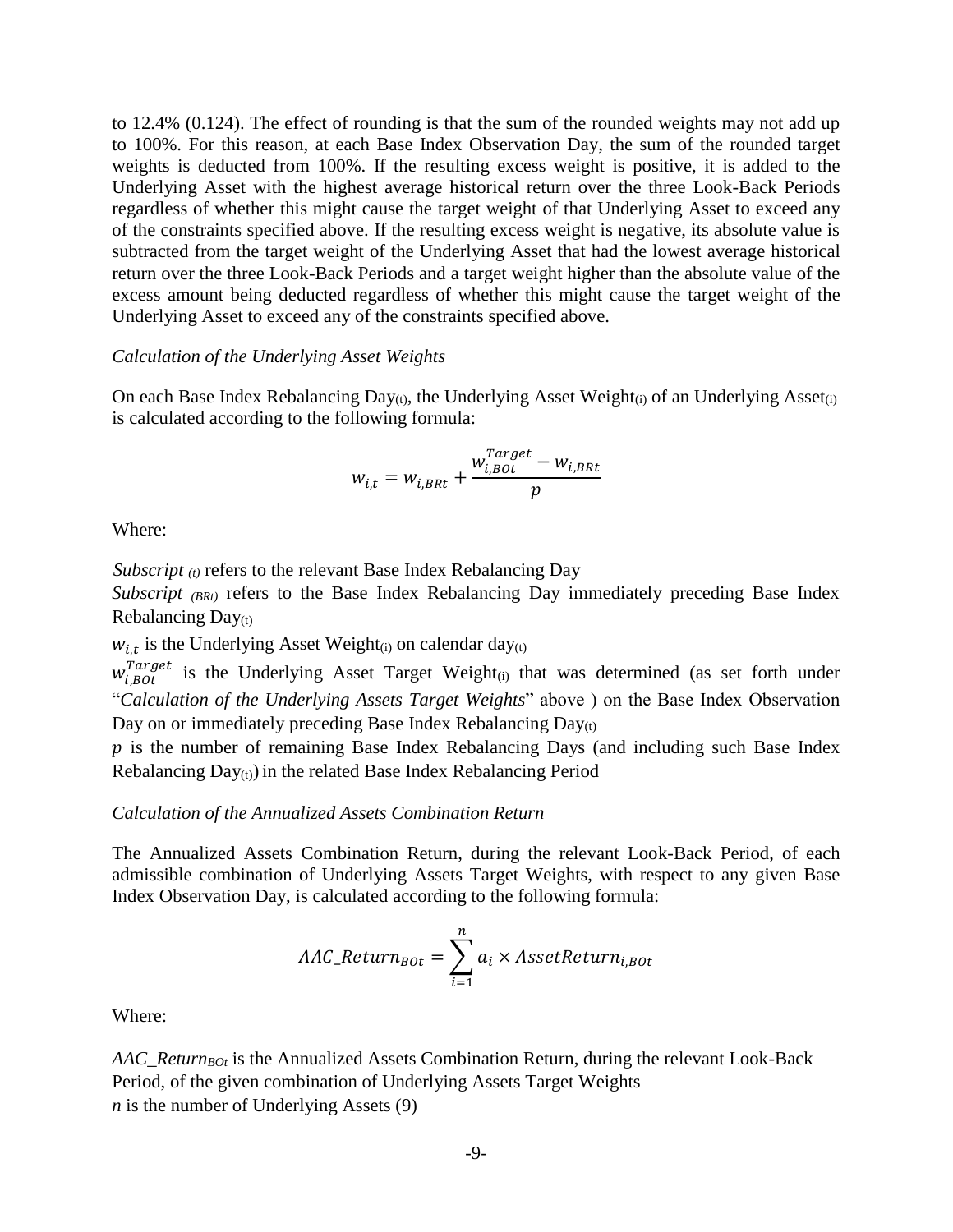to 12.4% (0.124). The effect of rounding is that the sum of the rounded weights may not add up to 100%. For this reason, at each Base Index Observation Day, the sum of the rounded target weights is deducted from 100%. If the resulting excess weight is positive, it is added to the Underlying Asset with the highest average historical return over the three Look-Back Periods regardless of whether this might cause the target weight of that Underlying Asset to exceed any of the constraints specified above. If the resulting excess weight is negative, its absolute value is subtracted from the target weight of the Underlying Asset that had the lowest average historical return over the three Look-Back Periods and a target weight higher than the absolute value of the excess amount being deducted regardless of whether this might cause the target weight of the Underlying Asset to exceed any of the constraints specified above.

#### *Calculation of the Underlying Asset Weights*

On each Base Index Rebalancing Day<sub>(t)</sub>, the Underlying Asset Weight<sub>(i)</sub> of an Underlying Asset<sub>(i)</sub> is calculated according to the following formula:

$$
w_{i,t} = w_{i,BRt} + \frac{w_{i,B0t}^{Target} - w_{i,BRt}}{p}
$$

Where:

*Subscript* <sub>(t)</sub> refers to the relevant Base Index Rebalancing Day

*Subscript (BRt)* refers to the Base Index Rebalancing Day immediately preceding Base Index Rebalancing  $Day<sub>(t)</sub>$ 

 $w_{i,t}$  is the Underlying Asset Weight<sub>(i)</sub> on calendar day<sub>(t)</sub>

 $w_{i,B0t}^{Target}$  is the Underlying Asset Target Weight<sub>(i)</sub> that was determined (as set forth under "*Calculation of the Underlying Assets Target Weights*" above ) on the Base Index Observation Day on or immediately preceding Base Index Rebalancing Day(t)

 $p$  is the number of remaining Base Index Rebalancing Days (and including such Base Index Rebalancing  $Day_{(t)}$ ) in the related Base Index Rebalancing Period

#### *Calculation of the Annualized Assets Combination Return*

The Annualized Assets Combination Return, during the relevant Look-Back Period, of each admissible combination of Underlying Assets Target Weights, with respect to any given Base Index Observation Day, is calculated according to the following formula:

$$
AAC\_Return_{Bot} = \sum_{i=1}^{n} a_i \times AssetReturn_{i,Bot}
$$

Where:

*AAC\_ReturnBOt* is the Annualized Assets Combination Return, during the relevant Look-Back Period, of the given combination of Underlying Assets Target Weights *n* is the number of Underlying Assets (9)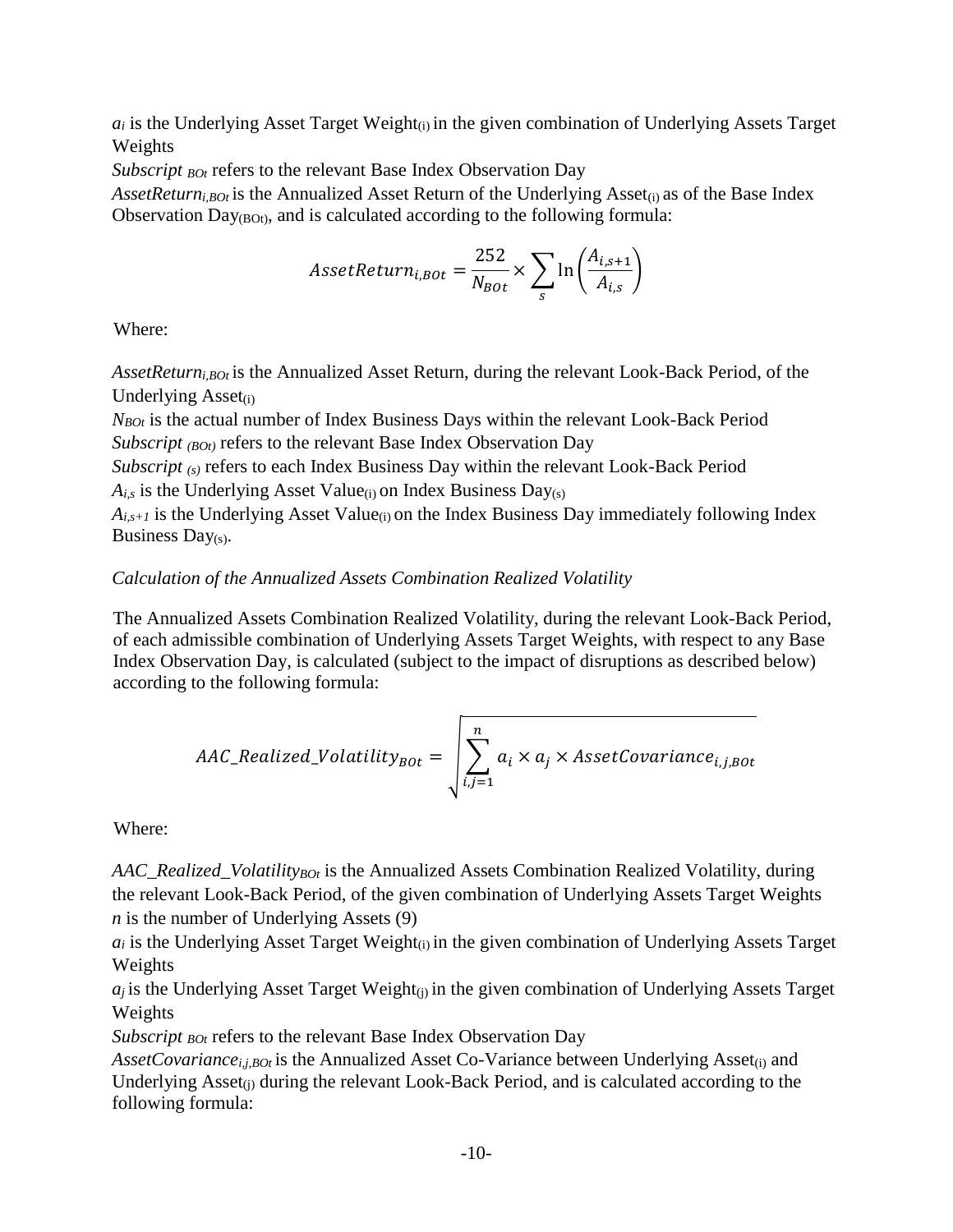$a_i$  is the Underlying Asset Target Weight $(i)$  in the given combination of Underlying Assets Target Weights

*Subscript <sub>BOt</sub>* refers to the relevant Base Index Observation Day

*AssetReturn<sub>i,BOt</sub>* is the Annualized Asset Return of the Underlying Asset<sub>(i)</sub> as of the Base Index Observation  $Day_{(BOt)}$ , and is calculated according to the following formula:

$$
A \text{ssetReturn}_{i, BOL} = \frac{252}{N_{BOL}} \times \sum_{s} \ln \left( \frac{A_{i, s+1}}{A_{i, s}} \right)
$$

Where:

*AssetReturni,BOt* is the Annualized Asset Return, during the relevant Look-Back Period, of the Underlying  $\text{Asset}_{(i)}$ 

*NBOt* is the actual number of Index Business Days within the relevant Look-Back Period *Subscript (BOt)* refers to the relevant Base Index Observation Day

*Subscript* (s) refers to each Index Business Day within the relevant Look-Back Period  $A_{i,s}$  is the Underlying Asset Value<sub>(i)</sub> on Index Business Day(s)

 $A_{i,s+1}$  is the Underlying Asset Value<sub>(i)</sub> on the Index Business Day immediately following Index Business Day $(s)$ .

## *Calculation of the Annualized Assets Combination Realized Volatility*

The Annualized Assets Combination Realized Volatility, during the relevant Look-Back Period, of each admissible combination of Underlying Assets Target Weights, with respect to any Base Index Observation Day, is calculated (subject to the impact of disruptions as described below) according to the following formula:

$$
AAC\_Realized\_Volatility_{Bot} = \sqrt{\sum_{i,j=1}^{n} a_i \times a_j \times AssetCovariance_{i,j,Bot}}
$$

Where:

*AAC\_Realized\_VolatilityBOt* is the Annualized Assets Combination Realized Volatility, during the relevant Look-Back Period, of the given combination of Underlying Assets Target Weights *n* is the number of Underlying Assets (9)

 $a_i$  is the Underlying Asset Target Weight $(i)$  in the given combination of Underlying Assets Target Weights

 $a_j$  is the Underlying Asset Target Weight<sub>(i)</sub> in the given combination of Underlying Assets Target Weights

*Subscript <sub>BOt</sub>* refers to the relevant Base Index Observation Day

*AssetCovariancei,j,BOt* is the Annualized Asset Co-Variance between Underlying Asset(i) and Underlying  $\text{Asset}_{(i)}$  during the relevant Look-Back Period, and is calculated according to the following formula: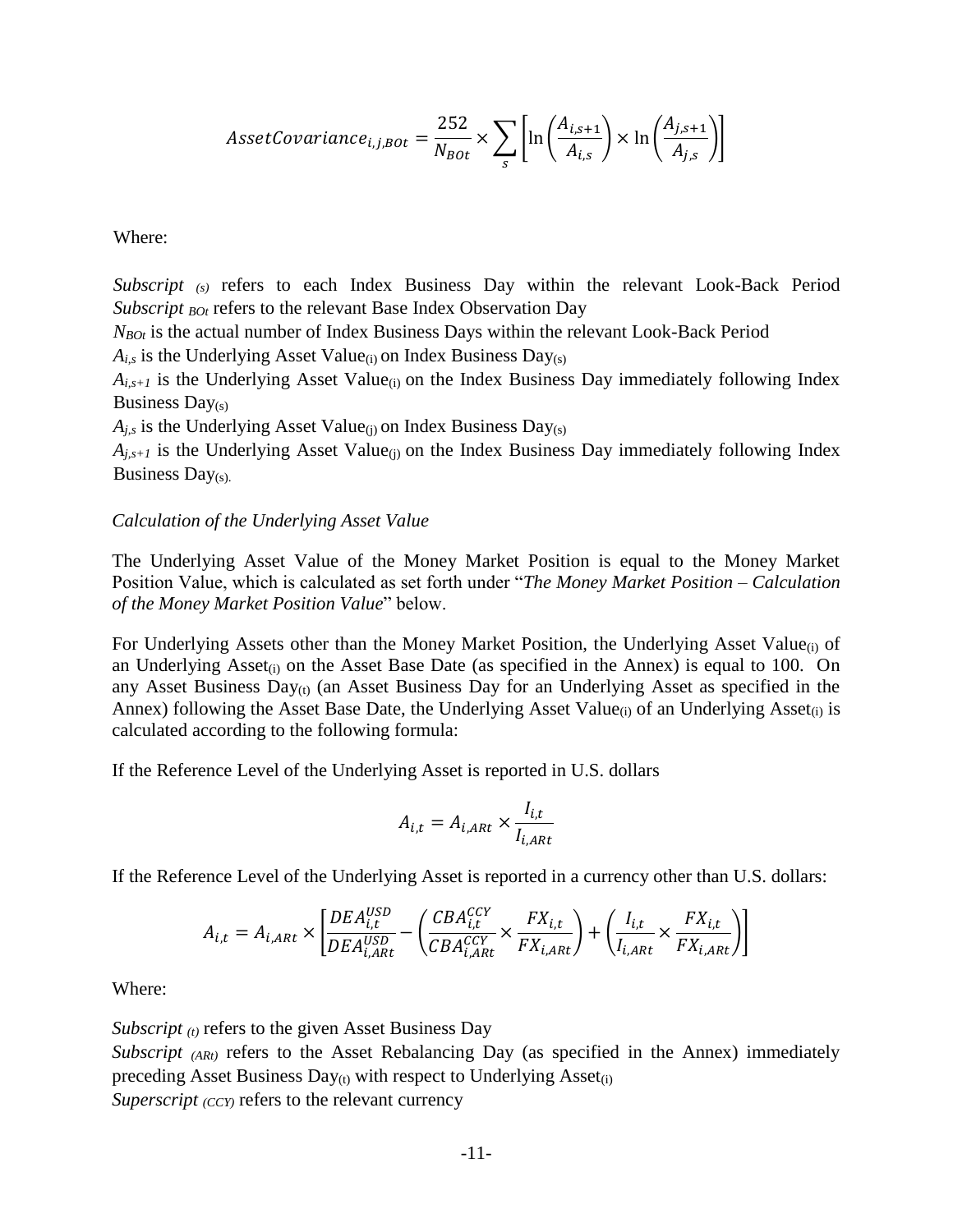$$
Asset Covariance_{i,j,Bot} = \frac{252}{N_{Bot}} \times \sum_{s} \left[ \ln \left( \frac{A_{i,s+1}}{A_{i,s}} \right) \times \ln \left( \frac{A_{j,s+1}}{A_{j,s}} \right) \right]
$$

Where:

*Subscript (s)* refers to each Index Business Day within the relevant Look-Back Period *Subscript BOt* refers to the relevant Base Index Observation Day

*NBOt* is the actual number of Index Business Days within the relevant Look-Back Period

 $A_{i,s}$  is the Underlying Asset Value<sub>(i)</sub> on Index Business Day(s)

 $A_{i,s+1}$  is the Underlying Asset Value<sub>(i)</sub> on the Index Business Day immediately following Index Business Day(s)

 $A_{j,s}$  is the Underlying Asset Value<sub>(j)</sub> on Index Business Day<sub>(s)</sub>

 $A_{i,s+1}$  is the Underlying Asset Value<sub>(i)</sub> on the Index Business Day immediately following Index Business Day(s).

#### *Calculation of the Underlying Asset Value*

The Underlying Asset Value of the Money Market Position is equal to the Money Market Position Value, which is calculated as set forth under "*The Money Market Position – Calculation of the Money Market Position Value*" below.

For Underlying Assets other than the Money Market Position, the Underlying Asset Value<sub>(i)</sub> of an Underlying Asset<sub>(i)</sub> on the Asset Base Date (as specified in the Annex) is equal to 100. On any Asset Business  $Day_{(t)}$  (an Asset Business Day for an Underlying Asset as specified in the Annex) following the Asset Base Date, the Underlying Asset Value<sub>(i)</sub> of an Underlying Asset<sub>(i)</sub> is calculated according to the following formula:

If the Reference Level of the Underlying Asset is reported in U.S. dollars

$$
A_{i,t} = A_{i,ARt} \times \frac{I_{i,t}}{I_{i,ARt}}
$$

If the Reference Level of the Underlying Asset is reported in a currency other than U.S. dollars:

$$
A_{i,t} = A_{i,ARt} \times \left[ \frac{DEA_{i,t}^{USD}}{DEA_{i,ARt}^{USD}} - \left( \frac{CBA_{i,t}^{CCY}}{CBA_{i,ARt}^{CCY}} \times \frac{FX_{i,t}}{FX_{i,ARt}} \right) + \left( \frac{I_{i,t}}{I_{i,ARt}} \times \frac{FX_{i,t}}{FX_{i,ARt}} \right) \right]
$$

Where:

*Subscript (t)* refers to the given Asset Business Day

*Subscript* (ARt) refers to the Asset Rebalancing Day (as specified in the Annex) immediately preceding Asset Business  $Day_{(t)}$  with respect to Underlying Asset<sub>(i)</sub>

*Superscript*  $\langle$ *ccy* $\rangle$  refers to the relevant currency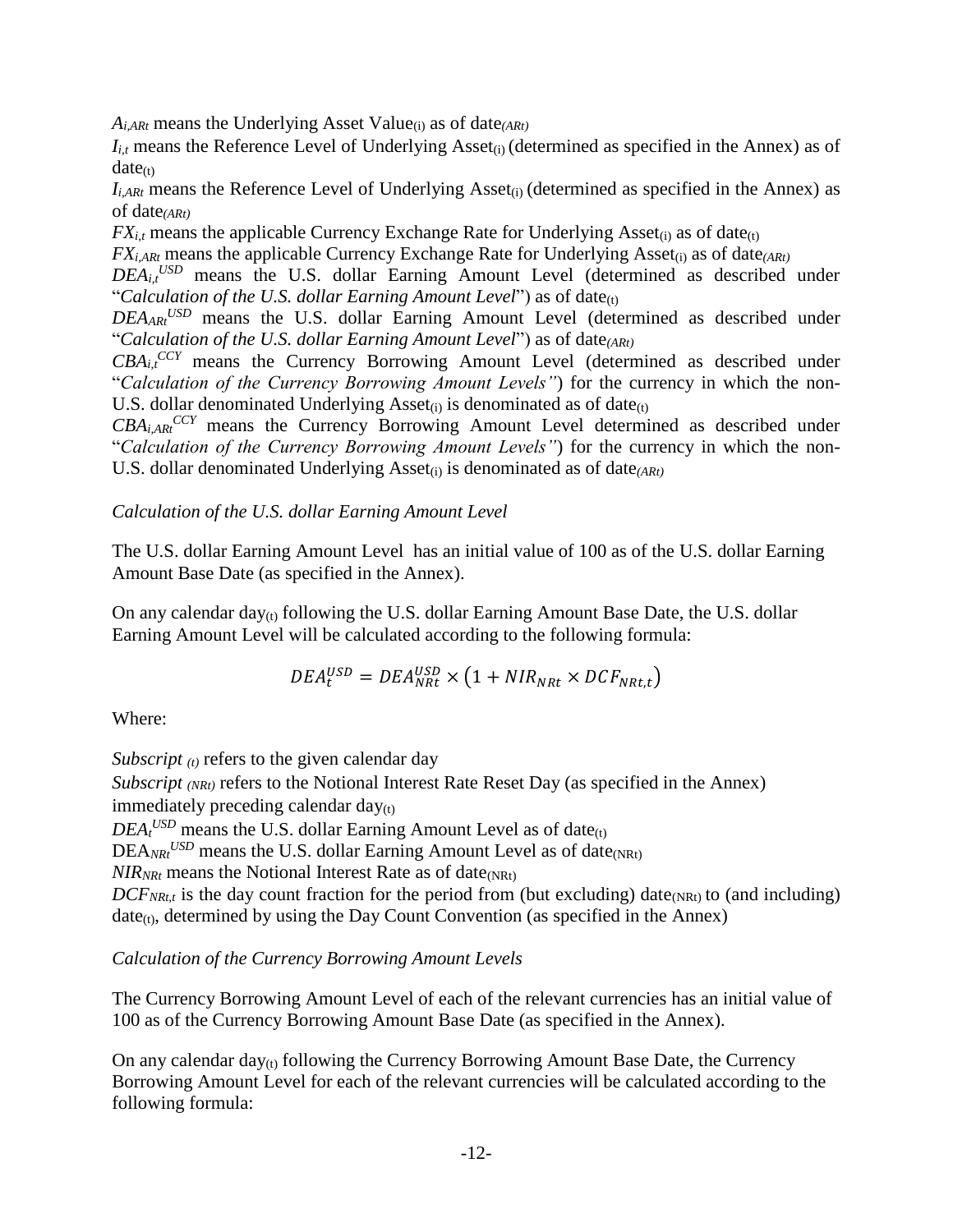*Ai,ARt* means the Underlying Asset Value(i) as of date*(ARt)*

 $I_{i,t}$  means the Reference Level of Underlying Asset<sub>(i)</sub> (determined as specified in the Annex) as of  $date_{(t)}$ 

 $I_{i,ARt}$  means the Reference Level of Underlying Asset<sub>(i)</sub> (determined as specified in the Annex) as of date*(ARt)*

 $FX_{i,t}$  means the applicable Currency Exchange Rate for Underlying Asset<sub>(i)</sub> as of date<sub>(t)</sub>

*FX*<sub>*i,ARt*</sub> means the applicable Currency Exchange Rate for Underlying Asset<sub>(i)</sub> as of date<sub>(*ARt*)</sub>

 $DEA_{i,t}$ <sup>USD</sup> means the U.S. dollar Earning Amount Level (determined as described under "Calculation of the U.S. dollar Earning Amount Level") as of date<sub>(t)</sub>

*DEAARt USD* means the U.S. dollar Earning Amount Level (determined as described under "*Calculation of the U.S. dollar Earning Amount Level*") as of date*(ARt)*

 $CBA<sub>i,t</sub>$ <sup>CCY</sup> means the Currency Borrowing Amount Level (determined as described under "*Calculation of the Currency Borrowing Amount Levels"*) for the currency in which the non-U.S. dollar denominated Underlying Asset<sub>(i)</sub> is denominated as of date $_{(t)}$ 

 $CBA<sub>i,ARt</sub>$ <sup>CCY</sup> means the Currency Borrowing Amount Level determined as described under "*Calculation of the Currency Borrowing Amount Levels"*) for the currency in which the non-U.S. dollar denominated Underlying Asset<sub>(i)</sub> is denominated as of date<sub>(ARt)</sub>

## *Calculation of the U.S. dollar Earning Amount Level*

The U.S. dollar Earning Amount Level has an initial value of 100 as of the U.S. dollar Earning Amount Base Date (as specified in the Annex).

On any calendar day $_{(t)}$  following the U.S. dollar Earning Amount Base Date, the U.S. dollar Earning Amount Level will be calculated according to the following formula:

$$
DEA_t^{USD} = DEA_{NRL}^{USD} \times \left(1 + NIR_{NRL} \times DCF_{NRL,t}\right)
$$

Where:

*Subscript (t)* refers to the given calendar day

*Subscript (NRt)* refers to the Notional Interest Rate Reset Day (as specified in the Annex) immediately preceding calendar  $day_{(t)}$ 

 $DEA_t$ <sup>*USD*</sup> means the U.S. dollar Earning Amount Level as of date<sub>(t)</sub>

DEA<sub>NRt</sub><sup>USD</sup> means the U.S. dollar Earning Amount Level as of date<sub>(NRt)</sub>

 $NIR_{NRt}$  means the Notional Interest Rate as of date<sub>(NRt)</sub>

 $DCF_{NRLt}$  is the day count fraction for the period from (but excluding) date<sub>(NRt)</sub> to (and including)  $date_{(t)}$ , determined by using the Day Count Convention (as specified in the Annex)

## *Calculation of the Currency Borrowing Amount Levels*

The Currency Borrowing Amount Level of each of the relevant currencies has an initial value of 100 as of the Currency Borrowing Amount Base Date (as specified in the Annex).

On any calendar day $_{(t)}$  following the Currency Borrowing Amount Base Date, the Currency Borrowing Amount Level for each of the relevant currencies will be calculated according to the following formula: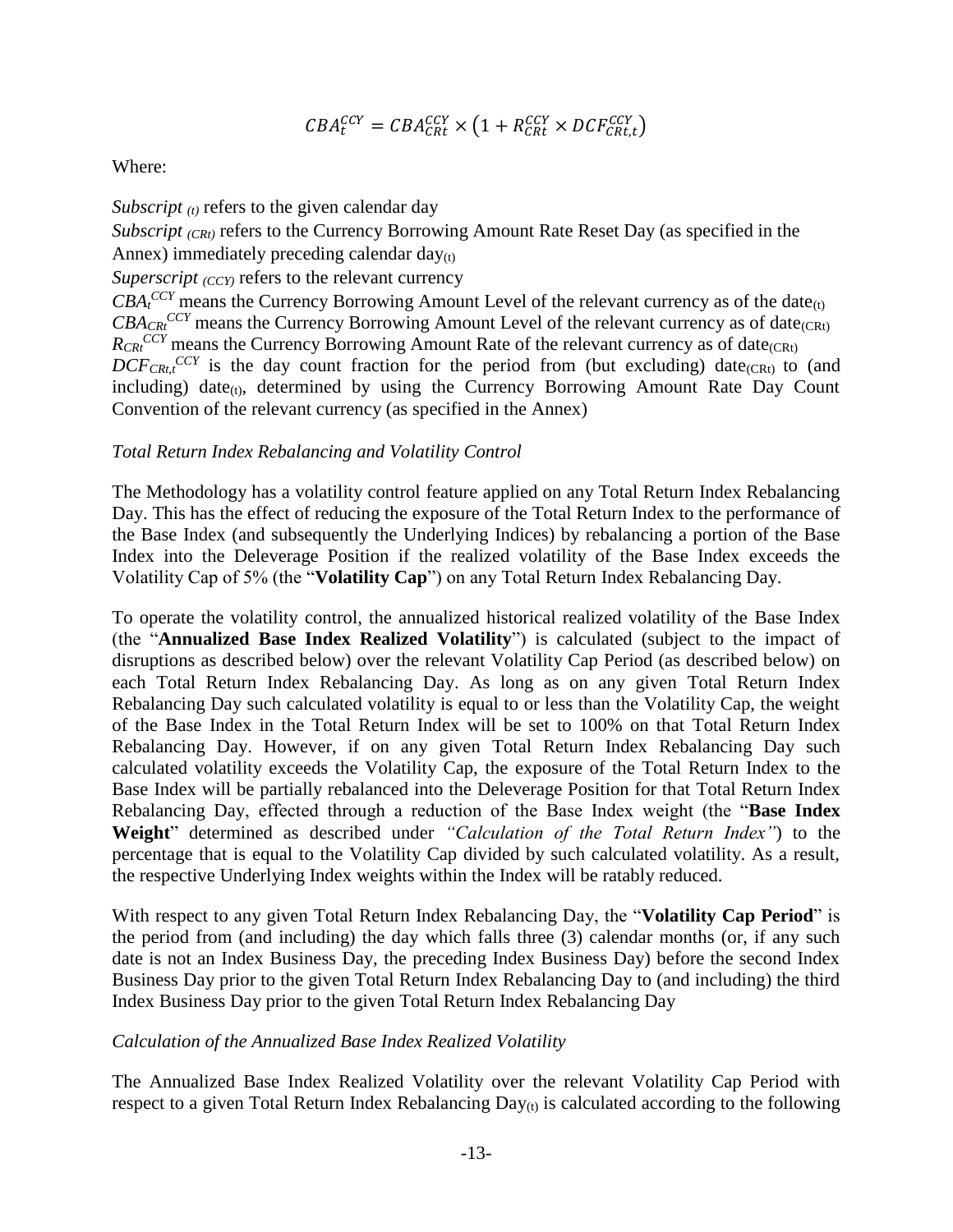$$
CBA_C^{CCY} = CBA_{CRt}^{CCY} \times \left(1 + R_{CRt}^{CCY} \times DCF_{CRt,t}^{CCY}\right)
$$

Where:

*Subscript (t)* refers to the given calendar day

*Subscript (CRt)* refers to the Currency Borrowing Amount Rate Reset Day (as specified in the Annex) immediately preceding calendar  $day_{(t)}$ 

*Superscript*  $\langle CCY \rangle$  refers to the relevant currency

 $CBA<sub>t</sub>$ <sup>*CCY*</sup> means the Currency Borrowing Amount Level of the relevant currency as of the date<sub>(t)</sub>  $CBA_{CR}^{CCY}$  means the Currency Borrowing Amount Level of the relevant currency as of date<sub>(CRt)</sub>  $R_{CR}^{CCY}$  means the Currency Borrowing Amount Rate of the relevant currency as of date(CRt)  $DCF_{CRt,t}^{CCY}$  is the day count fraction for the period from (but excluding) date<sub>(CRt)</sub> to (and including) date $_{(t)}$ , determined by using the Currency Borrowing Amount Rate Day Count Convention of the relevant currency (as specified in the Annex)

#### *Total Return Index Rebalancing and Volatility Control*

The Methodology has a volatility control feature applied on any Total Return Index Rebalancing Day. This has the effect of reducing the exposure of the Total Return Index to the performance of the Base Index (and subsequently the Underlying Indices) by rebalancing a portion of the Base Index into the Deleverage Position if the realized volatility of the Base Index exceeds the Volatility Cap of 5% (the "**Volatility Cap**") on any Total Return Index Rebalancing Day.

To operate the volatility control, the annualized historical realized volatility of the Base Index (the "**Annualized Base Index Realized Volatility**") is calculated (subject to the impact of disruptions as described below) over the relevant Volatility Cap Period (as described below) on each Total Return Index Rebalancing Day. As long as on any given Total Return Index Rebalancing Day such calculated volatility is equal to or less than the Volatility Cap, the weight of the Base Index in the Total Return Index will be set to 100% on that Total Return Index Rebalancing Day. However, if on any given Total Return Index Rebalancing Day such calculated volatility exceeds the Volatility Cap, the exposure of the Total Return Index to the Base Index will be partially rebalanced into the Deleverage Position for that Total Return Index Rebalancing Day, effected through a reduction of the Base Index weight (the "**Base Index Weight**" determined as described under *"Calculation of the Total Return Index"*) to the percentage that is equal to the Volatility Cap divided by such calculated volatility. As a result, the respective Underlying Index weights within the Index will be ratably reduced.

With respect to any given Total Return Index Rebalancing Day, the "**Volatility Cap Period**" is the period from (and including) the day which falls three (3) calendar months (or, if any such date is not an Index Business Day, the preceding Index Business Day) before the second Index Business Day prior to the given Total Return Index Rebalancing Day to (and including) the third Index Business Day prior to the given Total Return Index Rebalancing Day

## *Calculation of the Annualized Base Index Realized Volatility*

The Annualized Base Index Realized Volatility over the relevant Volatility Cap Period with respect to a given Total Return Index Rebalancing  $Day_{(t)}$  is calculated according to the following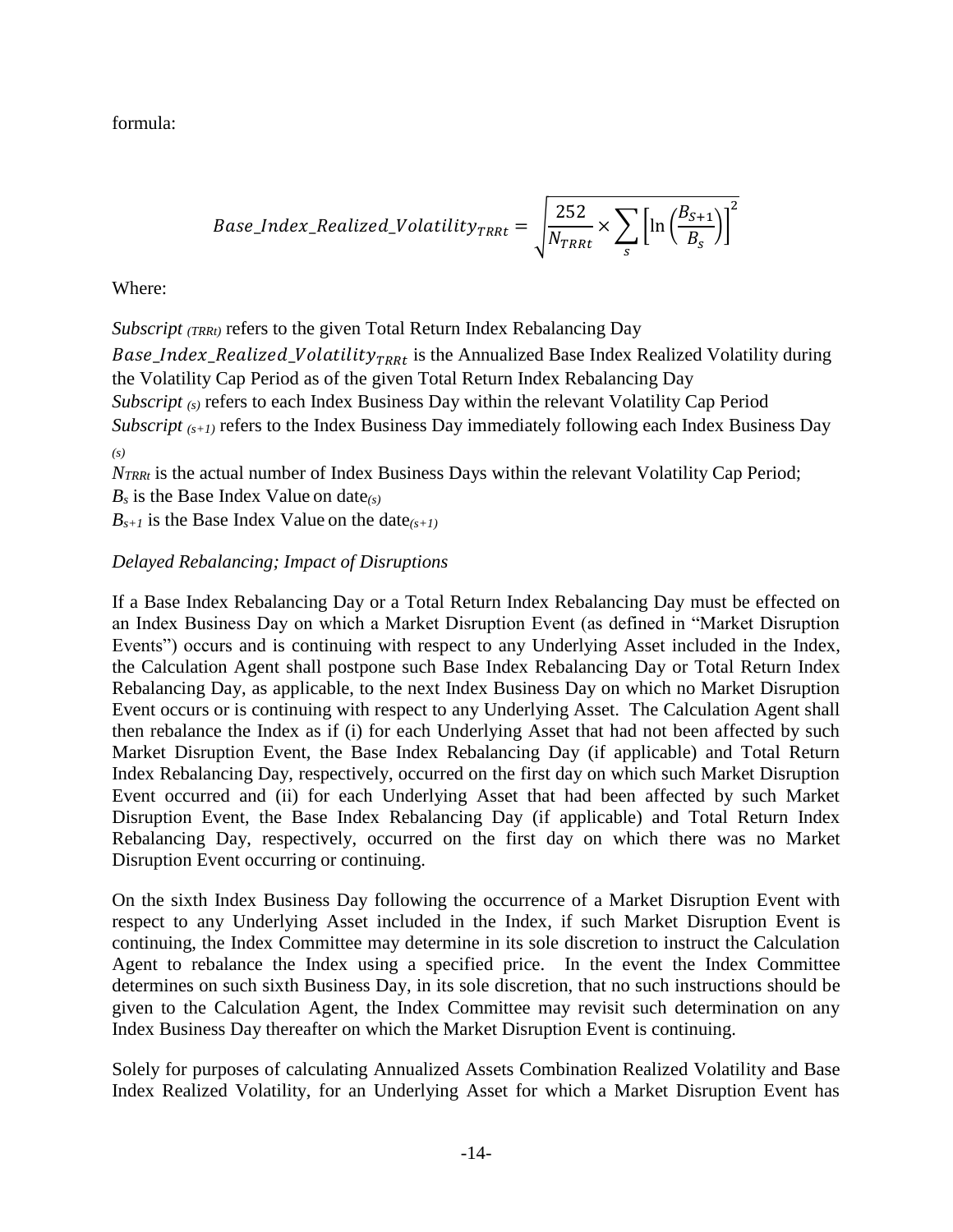formula:

$$
Base\_Index\_Realized\_Volatility_{TRRt} = \sqrt{\frac{252}{N_{TRRt}} \times \sum_{s} \left[ \ln \left( \frac{B_{S+1}}{B_{S}} \right) \right]^2}
$$

Where:

*Subscript (TRRt)* refers to the given Total Return Index Rebalancing Day

Base\_Index\_Realized\_Volatility<sub>TRRt</sub> is the Annualized Base Index Realized Volatility during the Volatility Cap Period as of the given Total Return Index Rebalancing Day *Subscript* (s) refers to each Index Business Day within the relevant Volatility Cap Period

*Subscript* (*s+1*) refers to the Index Business Day immediately following each Index Business Day

*(s)*

*NTRRt* is the actual number of Index Business Days within the relevant Volatility Cap Period;

*B<sup>s</sup>* is the Base Index Value on date*(s)*

 $B_{s+1}$  is the Base Index Value on the date $(s+1)$ 

## *Delayed Rebalancing; Impact of Disruptions*

If a Base Index Rebalancing Day or a Total Return Index Rebalancing Day must be effected on an Index Business Day on which a Market Disruption Event (as defined in "Market Disruption Events") occurs and is continuing with respect to any Underlying Asset included in the Index, the Calculation Agent shall postpone such Base Index Rebalancing Day or Total Return Index Rebalancing Day, as applicable, to the next Index Business Day on which no Market Disruption Event occurs or is continuing with respect to any Underlying Asset. The Calculation Agent shall then rebalance the Index as if (i) for each Underlying Asset that had not been affected by such Market Disruption Event, the Base Index Rebalancing Day (if applicable) and Total Return Index Rebalancing Day, respectively, occurred on the first day on which such Market Disruption Event occurred and (ii) for each Underlying Asset that had been affected by such Market Disruption Event, the Base Index Rebalancing Day (if applicable) and Total Return Index Rebalancing Day, respectively, occurred on the first day on which there was no Market Disruption Event occurring or continuing.

On the sixth Index Business Day following the occurrence of a Market Disruption Event with respect to any Underlying Asset included in the Index, if such Market Disruption Event is continuing, the Index Committee may determine in its sole discretion to instruct the Calculation Agent to rebalance the Index using a specified price. In the event the Index Committee determines on such sixth Business Day, in its sole discretion, that no such instructions should be given to the Calculation Agent, the Index Committee may revisit such determination on any Index Business Day thereafter on which the Market Disruption Event is continuing.

Solely for purposes of calculating Annualized Assets Combination Realized Volatility and Base Index Realized Volatility, for an Underlying Asset for which a Market Disruption Event has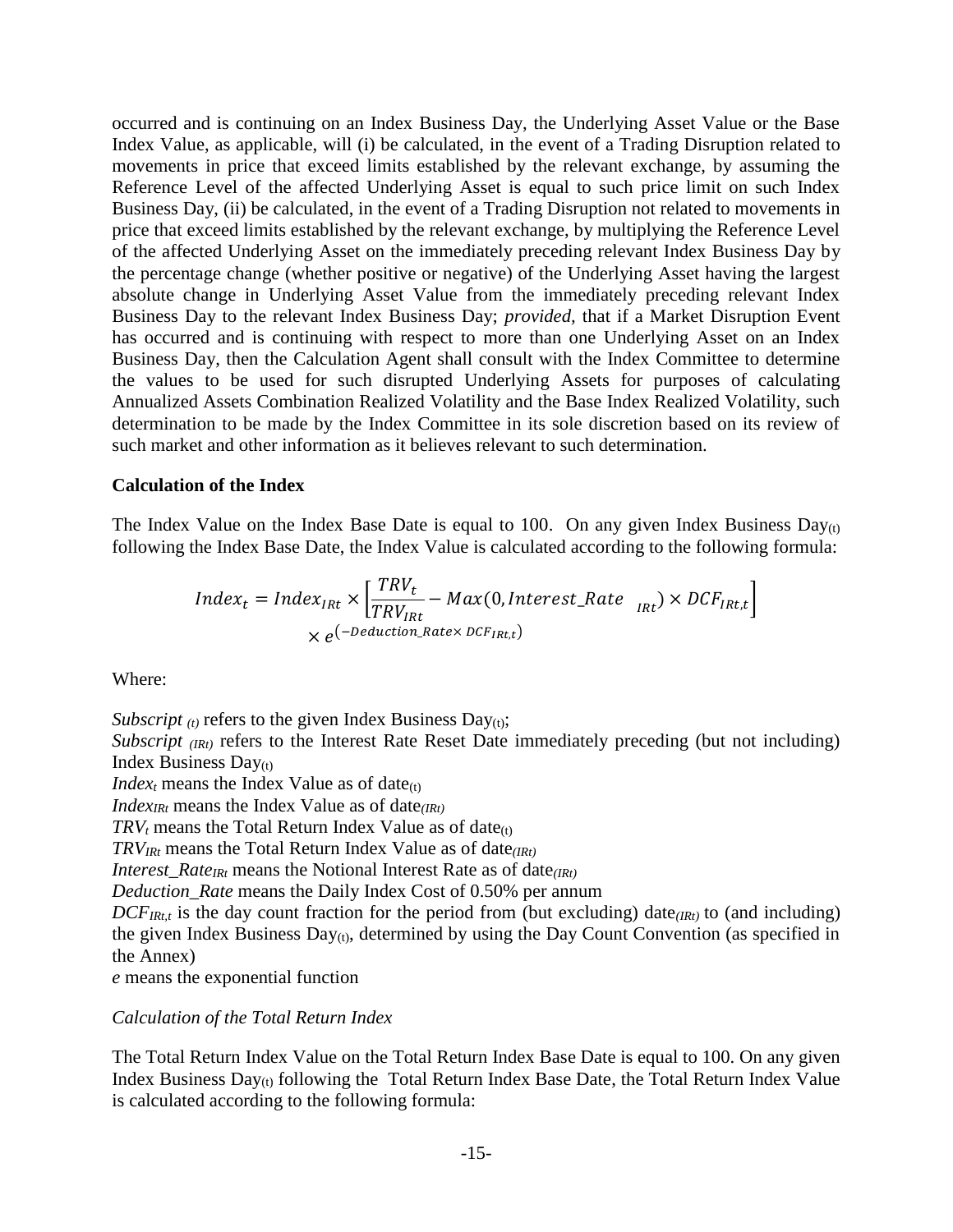occurred and is continuing on an Index Business Day, the Underlying Asset Value or the Base Index Value, as applicable, will (i) be calculated, in the event of a Trading Disruption related to movements in price that exceed limits established by the relevant exchange, by assuming the Reference Level of the affected Underlying Asset is equal to such price limit on such Index Business Day, (ii) be calculated, in the event of a Trading Disruption not related to movements in price that exceed limits established by the relevant exchange, by multiplying the Reference Level of the affected Underlying Asset on the immediately preceding relevant Index Business Day by the percentage change (whether positive or negative) of the Underlying Asset having the largest absolute change in Underlying Asset Value from the immediately preceding relevant Index Business Day to the relevant Index Business Day; *provided,* that if a Market Disruption Event has occurred and is continuing with respect to more than one Underlying Asset on an Index Business Day, then the Calculation Agent shall consult with the Index Committee to determine the values to be used for such disrupted Underlying Assets for purposes of calculating Annualized Assets Combination Realized Volatility and the Base Index Realized Volatility, such determination to be made by the Index Committee in its sole discretion based on its review of such market and other information as it believes relevant to such determination.

#### **Calculation of the Index**

The Index Value on the Index Base Date is equal to 100. On any given Index Business Day $_{(t)}$ following the Index Base Date, the Index Value is calculated according to the following formula:

$$
Index_t = Index_{IRt} \times \left[ \frac{TRV_t}{TRV_{IRt}} - Max(0, Interest\_Rate_{IRt}) \times DCF_{IRt,t} \right]
$$
  
×  $e^{(-Deduction\_Rate \times DCF_{IRt,t})}$ 

Where:

*Subscript*  $_{(t)}$  refers to the given Index Business Day $_{(t)}$ ;

*Subscript (IRt)* refers to the Interest Rate Reset Date immediately preceding (but not including) Index Business Day(t)

*Index<sub>t</sub>* means the Index Value as of date $(t)$ 

*IndexIRt* means the Index Value as of date*(IRt)*

 $TRV_t$  means the Total Return Index Value as of date<sub>(t)</sub>

*TRVIRt* means the Total Return Index Value as of date*(IRt)*

*Interest Rate<sub>IRt</sub>* means the Notional Interest Rate as of date<sub>(IRt)</sub>

*Deduction\_Rate* means the Daily Index Cost of 0.50% per annum

 $DCF_{IRt,t}$  is the day count fraction for the period from (but excluding) date<sub>(IRt)</sub> to (and including) the given Index Business  $Day_{(t)}$ , determined by using the Day Count Convention (as specified in the Annex)

*e* means the exponential function

*Calculation of the Total Return Index*

The Total Return Index Value on the Total Return Index Base Date is equal to 100. On any given Index Business  $Day_{(t)}$  following the Total Return Index Base Date, the Total Return Index Value is calculated according to the following formula: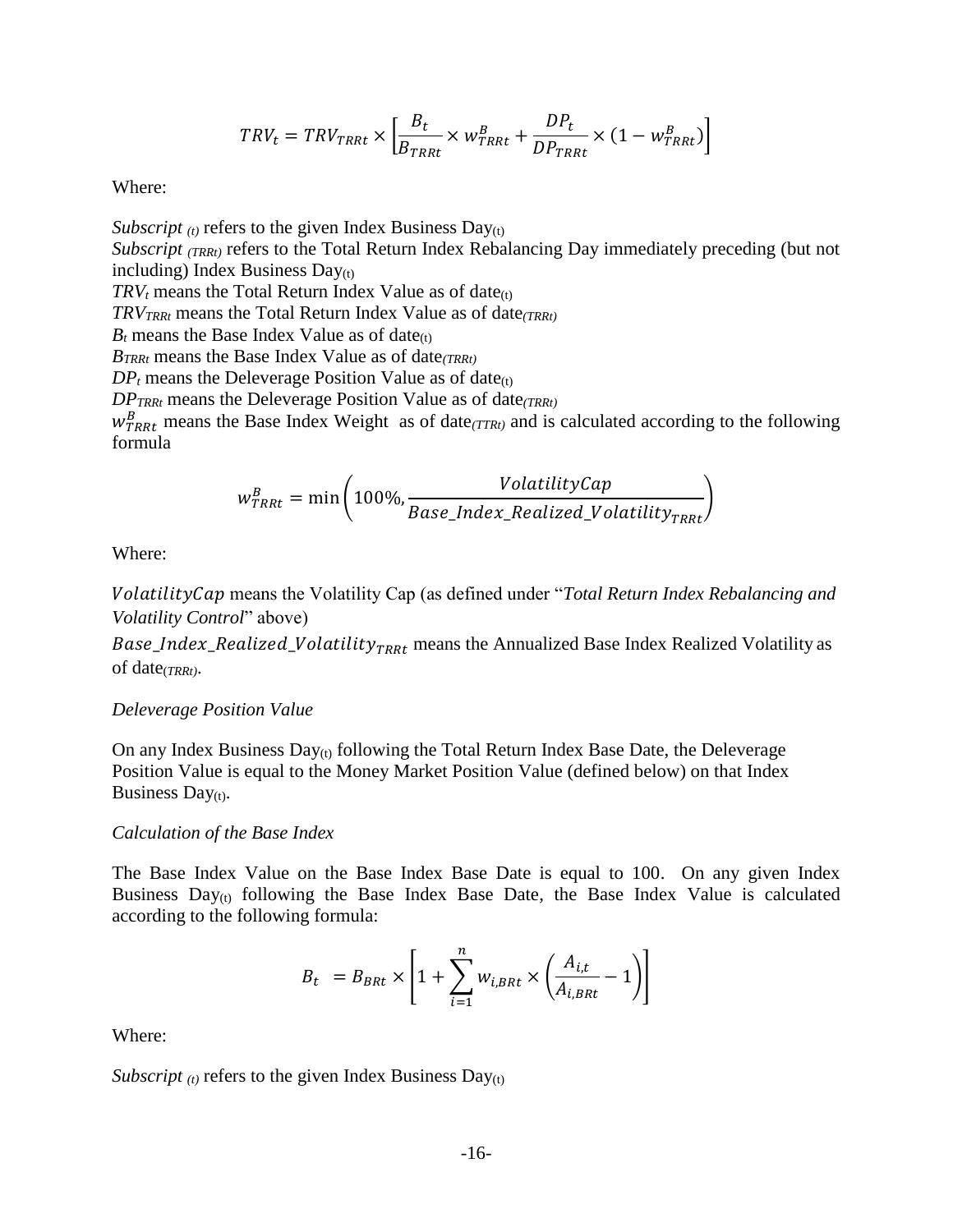$$
TRV_t = TRV_{TRRt} \times \left[ \frac{B_t}{B_{TRRt}} \times w_{TRRt}^B + \frac{DP_t}{DP_{TRRt}} \times (1 - w_{TRRt}^B) \right]
$$

Where:

*Subscript*  $_{(t)}$  refers to the given Index Business Day $_{(t)}$ *Subscript (TRRt)* refers to the Total Return Index Rebalancing Day immediately preceding (but not including) Index Business  $Day<sub>(t)</sub>$  $TRV_t$  means the Total Return Index Value as of date $(t)$ *TRVTRRt* means the Total Return Index Value as of date*(TRRt)*  $B_t$  means the Base Index Value as of date<sub>(t)</sub> *BTRRt* means the Base Index Value as of date*(TRRt)*  $DP<sub>t</sub>$  means the Deleverage Position Value as of date<sub>(t)</sub> *DPTRRt* means the Deleverage Position Value as of date*(TRRt)*

 $w_{TRRt}^B$  means the Base Index Weight as of date $(TTRt)$  and is calculated according to the following formula

$$
w_{\text{TRR}t}^{B} = \min\left(100\%, \frac{VolatilityCap}{Base\_Index\_Realized\_Volatility_{\text{TRR}t}}\right)
$$

Where:

 means the Volatility Cap (as defined under "*Total Return Index Rebalancing and Volatility Control*" above)

Base\_Index\_Realized\_Volatility<sub>TRRt</sub> means the Annualized Base Index Realized Volatility as of date(*TRRt)*.

#### *Deleverage Position Value*

On any Index Business  $Day_{(t)}$  following the Total Return Index Base Date, the Deleverage Position Value is equal to the Money Market Position Value (defined below) on that Index Business Day $(t)$ .

#### *Calculation of the Base Index*

The Base Index Value on the Base Index Base Date is equal to 100. On any given Index Business  $Day_{(t)}$  following the Base Index Base Date, the Base Index Value is calculated according to the following formula:

$$
B_t = B_{B R t} \times \left[1 + \sum_{i=1}^{n} w_{i,B R t} \times \left(\frac{A_{i,t}}{A_{i,B R t}} - 1\right)\right]
$$

Where:

*Subscript*  $_{(t)}$  refers to the given Index Business Day $_{(t)}$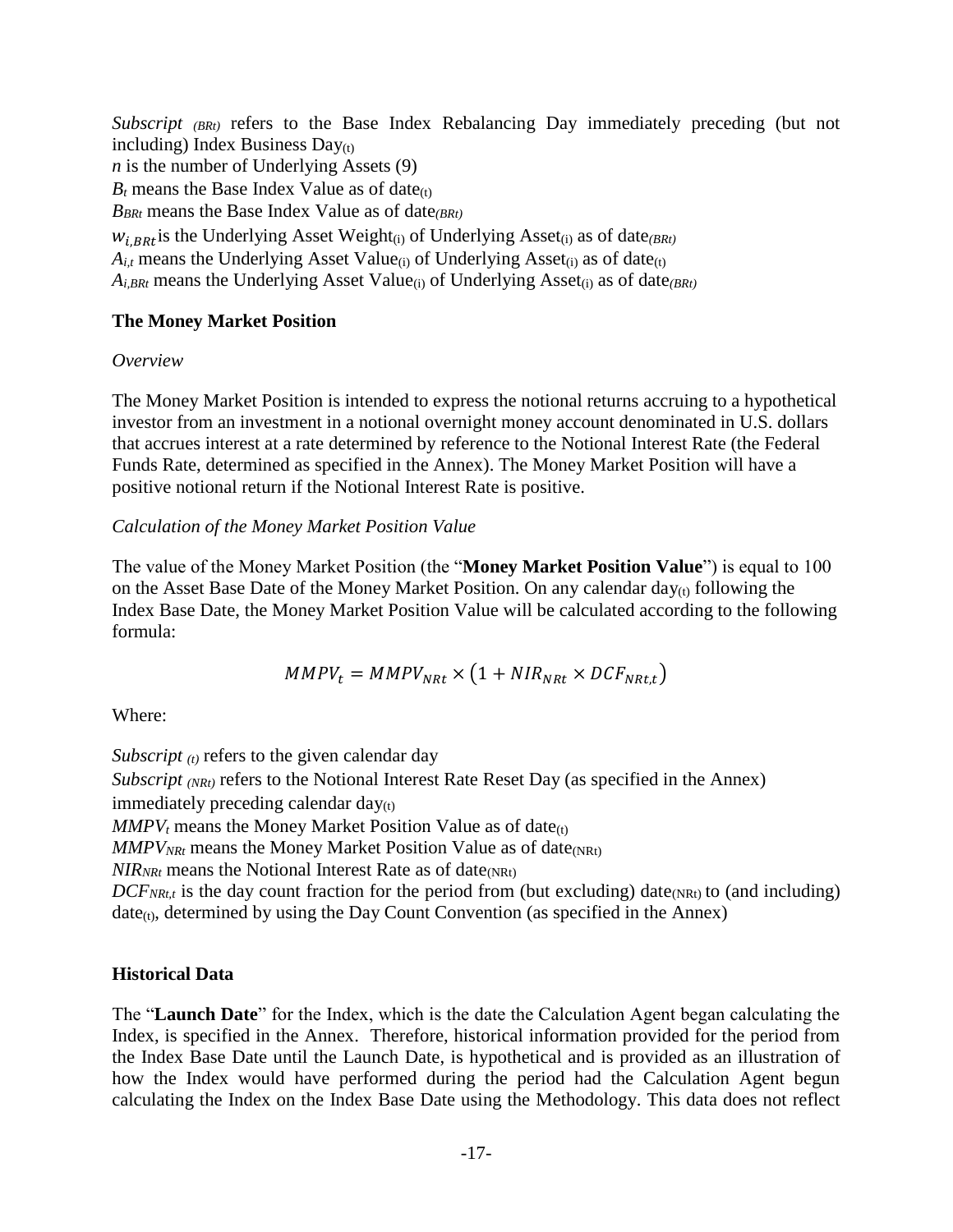*Subscript (BRt)* refers to the Base Index Rebalancing Day immediately preceding (but not including) Index Business  $Day_{(t)}$ *n* is the number of Underlying Assets (9)  $B_t$  means the Base Index Value as of date $(t)$ *BBRt* means the Base Index Value as of date*(BRt)*  $w_{i,BRt}$  is the Underlying Asset Weight<sub>(i)</sub> of Underlying Asset<sub>(i)</sub> as of date $_{(BRt)}$  $A_{i,t}$  means the Underlying Asset Value<sub>(i)</sub> of Underlying Asset<sub>(i)</sub> as of date<sub>(t)</sub> *Ai,BRt* means the Underlying Asset Value(i) of Underlying Asset(i) as of date*(BRt)*

## **The Money Market Position**

## *Overview*

The Money Market Position is intended to express the notional returns accruing to a hypothetical investor from an investment in a notional overnight money account denominated in U.S. dollars that accrues interest at a rate determined by reference to the Notional Interest Rate (the Federal Funds Rate, determined as specified in the Annex). The Money Market Position will have a positive notional return if the Notional Interest Rate is positive.

## *Calculation of the Money Market Position Value*

The value of the Money Market Position (the "**Money Market Position Value**") is equal to 100 on the Asset Base Date of the Money Market Position. On any calendar day $_{(t)}$  following the Index Base Date, the Money Market Position Value will be calculated according to the following formula:

$$
MMPV_t = MMPV_{NRL} \times (1 + NIR_{NRL} \times DCF_{NRL,t})
$$

Where:

*Subscript*  $(t)$  refers to the given calendar day *Subscript (NRt)* refers to the Notional Interest Rate Reset Day (as specified in the Annex) immediately preceding calendar  $day_{(t)}$  $MMPV<sub>t</sub>$  means the Money Market Position Value as of date<sub>(t)</sub>  $MMPV_{NRt}$  means the Money Market Position Value as of date<sub>(NRt)</sub>  $NIR_{NRt}$  means the Notional Interest Rate as of date<sub>(NRt)</sub>  $DCF_{NRLt}$  is the day count fraction for the period from (but excluding) date<sub>(NRt)</sub> to (and including)  $date_{(t)}$ , determined by using the Day Count Convention (as specified in the Annex)

## **Historical Data**

The "**Launch Date**" for the Index, which is the date the Calculation Agent began calculating the Index, is specified in the Annex. Therefore, historical information provided for the period from the Index Base Date until the Launch Date, is hypothetical and is provided as an illustration of how the Index would have performed during the period had the Calculation Agent begun calculating the Index on the Index Base Date using the Methodology. This data does not reflect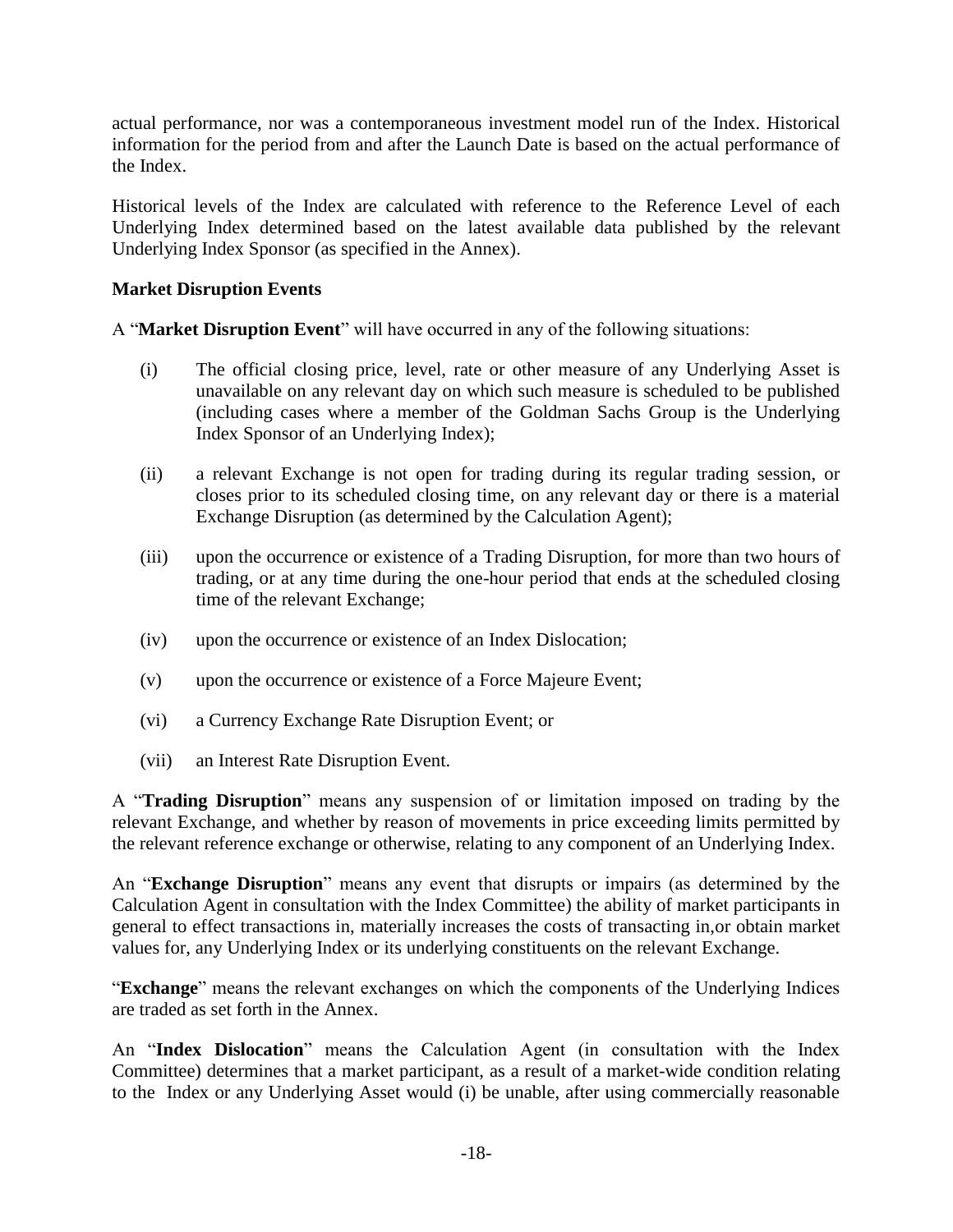actual performance, nor was a contemporaneous investment model run of the Index. Historical information for the period from and after the Launch Date is based on the actual performance of the Index.

Historical levels of the Index are calculated with reference to the Reference Level of each Underlying Index determined based on the latest available data published by the relevant Underlying Index Sponsor (as specified in the Annex).

## **Market Disruption Events**

A "**Market Disruption Event**" will have occurred in any of the following situations:

- (i) The official closing price, level, rate or other measure of any Underlying Asset is unavailable on any relevant day on which such measure is scheduled to be published (including cases where a member of the Goldman Sachs Group is the Underlying Index Sponsor of an Underlying Index);
- (ii) a relevant Exchange is not open for trading during its regular trading session, or closes prior to its scheduled closing time, on any relevant day or there is a material Exchange Disruption (as determined by the Calculation Agent);
- (iii) upon the occurrence or existence of a Trading Disruption, for more than two hours of trading, or at any time during the one-hour period that ends at the scheduled closing time of the relevant Exchange;
- (iv) upon the occurrence or existence of an Index Dislocation;
- (v) upon the occurrence or existence of a Force Majeure Event;
- (vi) a Currency Exchange Rate Disruption Event; or
- (vii) an Interest Rate Disruption Event.

A "**Trading Disruption**" means any suspension of or limitation imposed on trading by the relevant Exchange, and whether by reason of movements in price exceeding limits permitted by the relevant reference exchange or otherwise, relating to any component of an Underlying Index.

An "**Exchange Disruption**" means any event that disrupts or impairs (as determined by the Calculation Agent in consultation with the Index Committee) the ability of market participants in general to effect transactions in, materially increases the costs of transacting in,or obtain market values for, any Underlying Index or its underlying constituents on the relevant Exchange.

"**Exchange**" means the relevant exchanges on which the components of the Underlying Indices are traded as set forth in the Annex.

An "**Index Dislocation**" means the Calculation Agent (in consultation with the Index Committee) determines that a market participant, as a result of a market-wide condition relating to the Index or any Underlying Asset would (i) be unable, after using commercially reasonable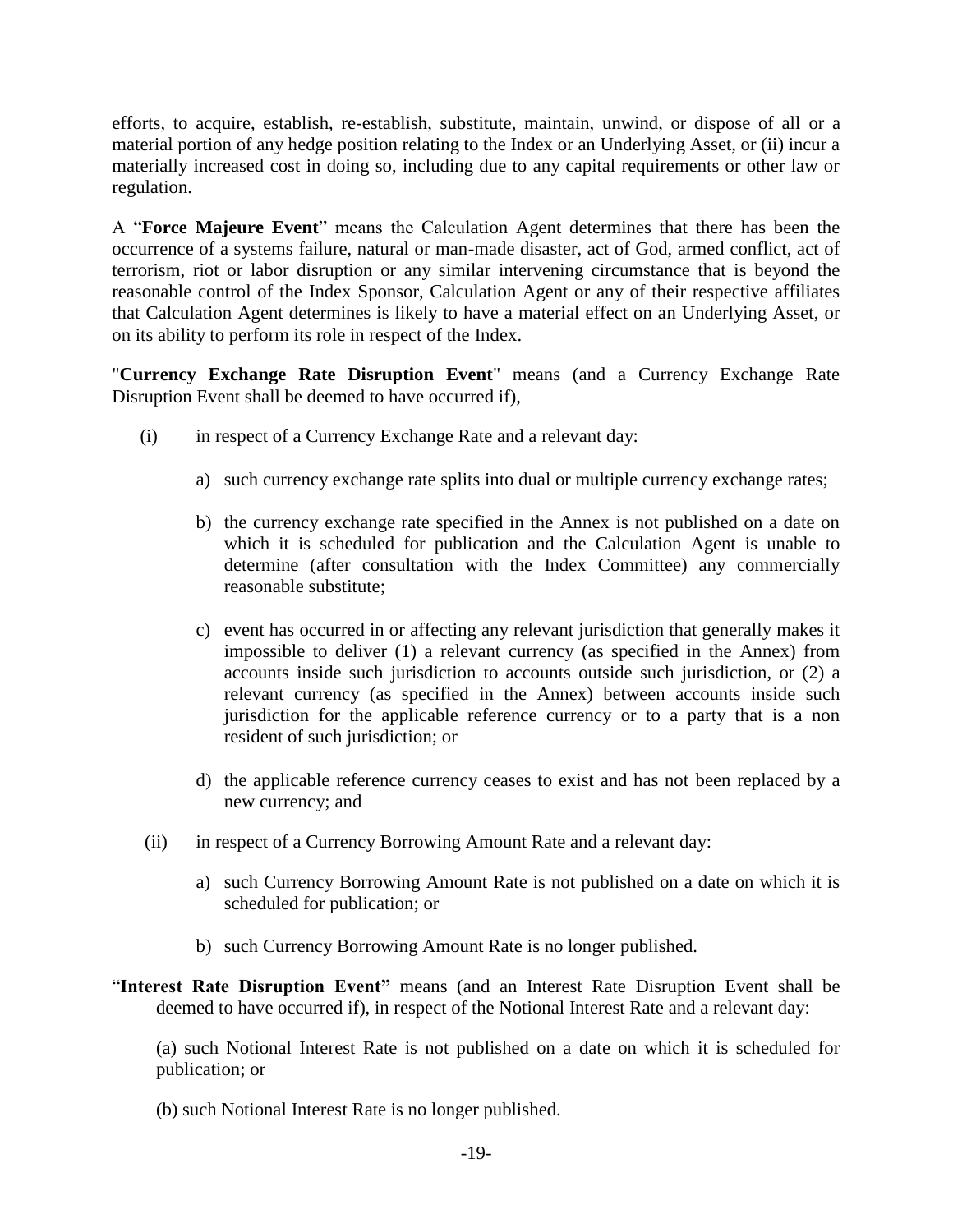efforts, to acquire, establish, re-establish, substitute, maintain, unwind, or dispose of all or a material portion of any hedge position relating to the Index or an Underlying Asset, or (ii) incur a materially increased cost in doing so, including due to any capital requirements or other law or regulation.

A "**Force Majeure Event**" means the Calculation Agent determines that there has been the occurrence of a systems failure, natural or man-made disaster, act of God, armed conflict, act of terrorism, riot or labor disruption or any similar intervening circumstance that is beyond the reasonable control of the Index Sponsor, Calculation Agent or any of their respective affiliates that Calculation Agent determines is likely to have a material effect on an Underlying Asset, or on its ability to perform its role in respect of the Index.

"**Currency Exchange Rate Disruption Event**" means (and a Currency Exchange Rate Disruption Event shall be deemed to have occurred if),

- (i) in respect of a Currency Exchange Rate and a relevant day:
	- a) such currency exchange rate splits into dual or multiple currency exchange rates;
	- b) the currency exchange rate specified in the Annex is not published on a date on which it is scheduled for publication and the Calculation Agent is unable to determine (after consultation with the Index Committee) any commercially reasonable substitute;
	- c) event has occurred in or affecting any relevant jurisdiction that generally makes it impossible to deliver (1) a relevant currency (as specified in the Annex) from accounts inside such jurisdiction to accounts outside such jurisdiction, or (2) a relevant currency (as specified in the Annex) between accounts inside such jurisdiction for the applicable reference currency or to a party that is a non resident of such jurisdiction; or
	- d) the applicable reference currency ceases to exist and has not been replaced by a new currency; and
- (ii) in respect of a Currency Borrowing Amount Rate and a relevant day:
	- a) such Currency Borrowing Amount Rate is not published on a date on which it is scheduled for publication; or
	- b) such Currency Borrowing Amount Rate is no longer published.
- "**Interest Rate Disruption Event"** means (and an Interest Rate Disruption Event shall be deemed to have occurred if), in respect of the Notional Interest Rate and a relevant day:

(a) such Notional Interest Rate is not published on a date on which it is scheduled for publication; or

(b) such Notional Interest Rate is no longer published.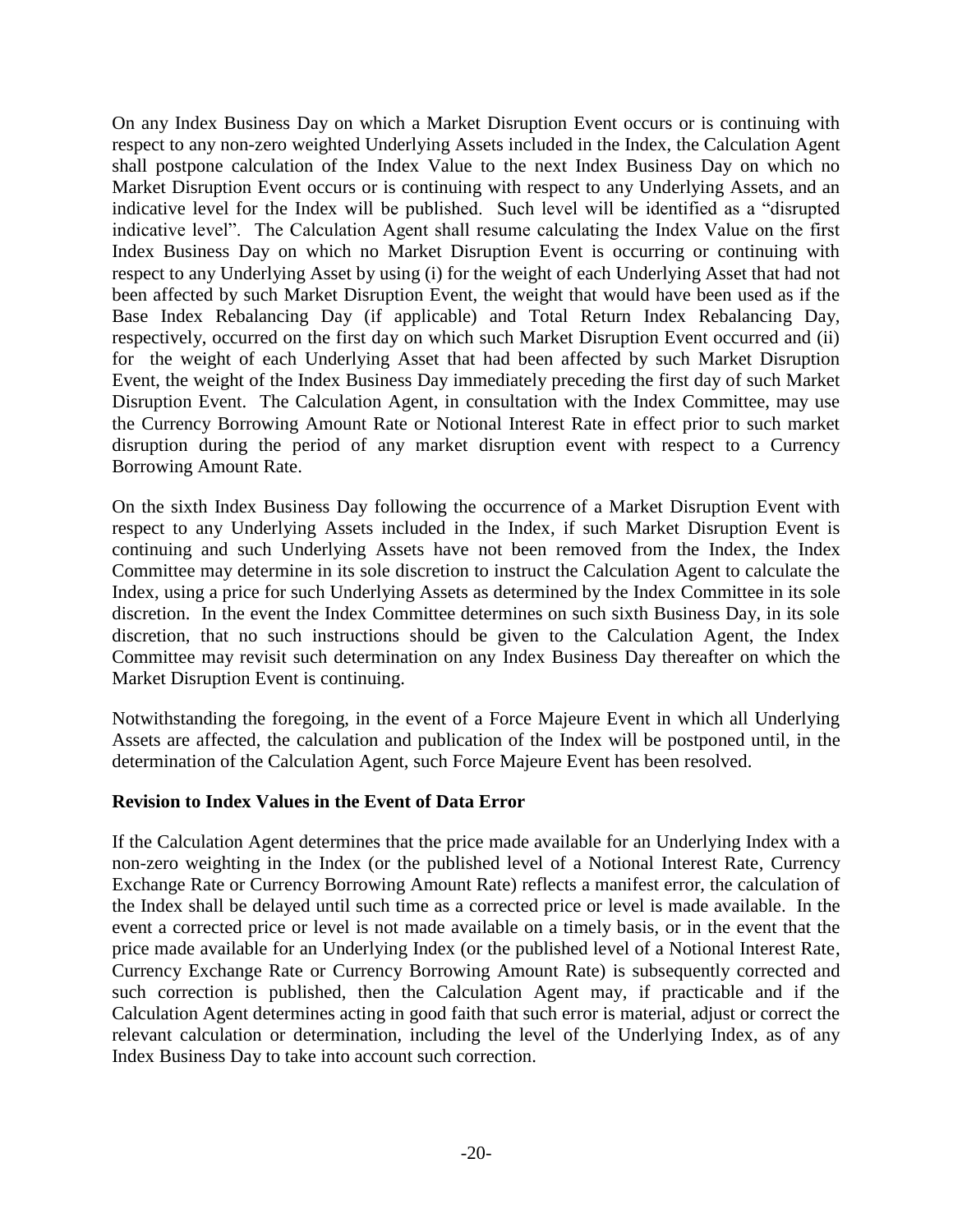On any Index Business Day on which a Market Disruption Event occurs or is continuing with respect to any non-zero weighted Underlying Assets included in the Index, the Calculation Agent shall postpone calculation of the Index Value to the next Index Business Day on which no Market Disruption Event occurs or is continuing with respect to any Underlying Assets, and an indicative level for the Index will be published. Such level will be identified as a "disrupted indicative level". The Calculation Agent shall resume calculating the Index Value on the first Index Business Day on which no Market Disruption Event is occurring or continuing with respect to any Underlying Asset by using (i) for the weight of each Underlying Asset that had not been affected by such Market Disruption Event, the weight that would have been used as if the Base Index Rebalancing Day (if applicable) and Total Return Index Rebalancing Day, respectively, occurred on the first day on which such Market Disruption Event occurred and (ii) for the weight of each Underlying Asset that had been affected by such Market Disruption Event, the weight of the Index Business Day immediately preceding the first day of such Market Disruption Event. The Calculation Agent, in consultation with the Index Committee, may use the Currency Borrowing Amount Rate or Notional Interest Rate in effect prior to such market disruption during the period of any market disruption event with respect to a Currency Borrowing Amount Rate.

On the sixth Index Business Day following the occurrence of a Market Disruption Event with respect to any Underlying Assets included in the Index, if such Market Disruption Event is continuing and such Underlying Assets have not been removed from the Index, the Index Committee may determine in its sole discretion to instruct the Calculation Agent to calculate the Index, using a price for such Underlying Assets as determined by the Index Committee in its sole discretion. In the event the Index Committee determines on such sixth Business Day, in its sole discretion, that no such instructions should be given to the Calculation Agent, the Index Committee may revisit such determination on any Index Business Day thereafter on which the Market Disruption Event is continuing.

Notwithstanding the foregoing, in the event of a Force Majeure Event in which all Underlying Assets are affected, the calculation and publication of the Index will be postponed until, in the determination of the Calculation Agent, such Force Majeure Event has been resolved.

#### **Revision to Index Values in the Event of Data Error**

If the Calculation Agent determines that the price made available for an Underlying Index with a non-zero weighting in the Index (or the published level of a Notional Interest Rate, Currency Exchange Rate or Currency Borrowing Amount Rate) reflects a manifest error, the calculation of the Index shall be delayed until such time as a corrected price or level is made available. In the event a corrected price or level is not made available on a timely basis, or in the event that the price made available for an Underlying Index (or the published level of a Notional Interest Rate, Currency Exchange Rate or Currency Borrowing Amount Rate) is subsequently corrected and such correction is published, then the Calculation Agent may, if practicable and if the Calculation Agent determines acting in good faith that such error is material, adjust or correct the relevant calculation or determination, including the level of the Underlying Index, as of any Index Business Day to take into account such correction.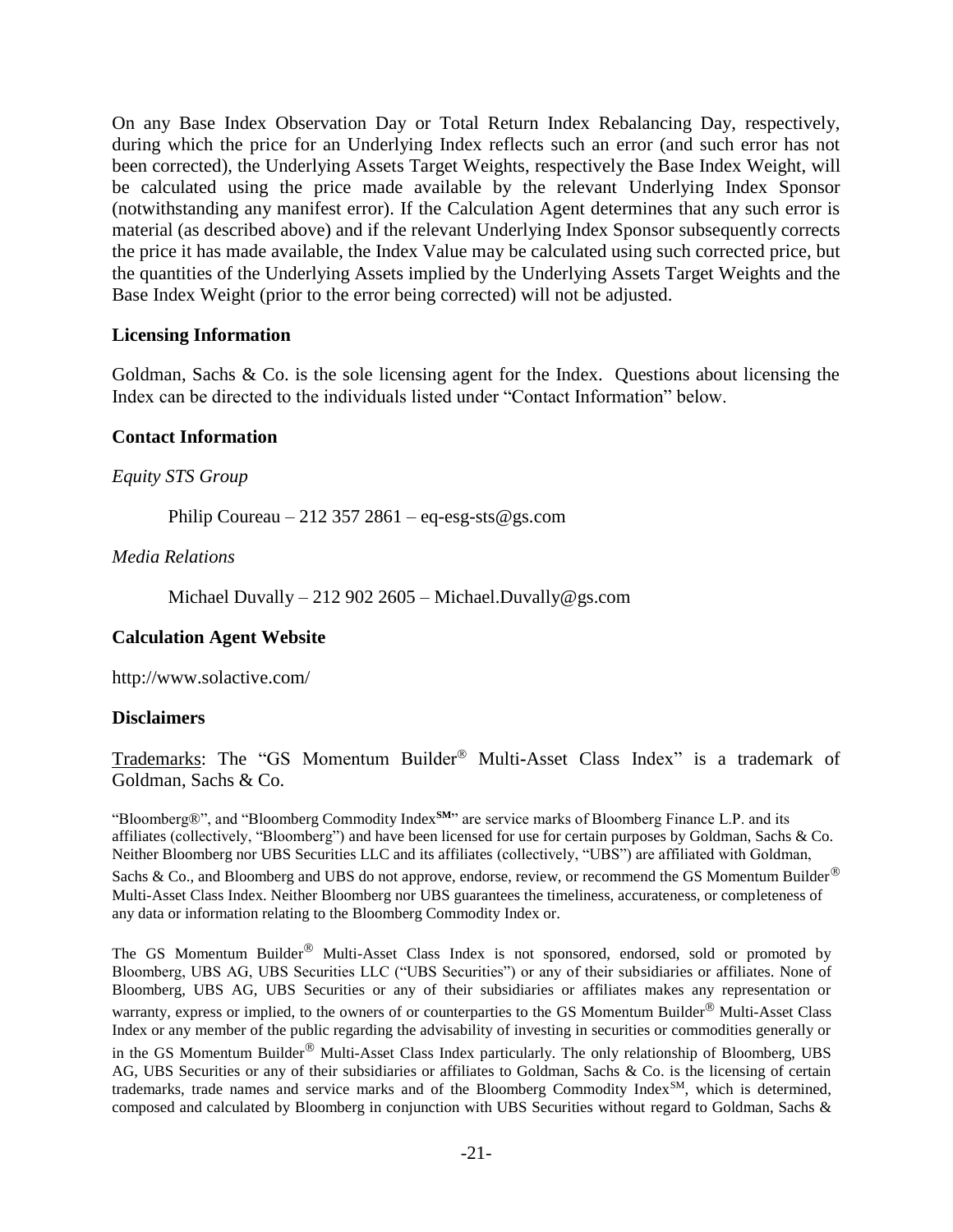On any Base Index Observation Day or Total Return Index Rebalancing Day, respectively, during which the price for an Underlying Index reflects such an error (and such error has not been corrected), the Underlying Assets Target Weights, respectively the Base Index Weight, will be calculated using the price made available by the relevant Underlying Index Sponsor (notwithstanding any manifest error). If the Calculation Agent determines that any such error is material (as described above) and if the relevant Underlying Index Sponsor subsequently corrects the price it has made available, the Index Value may be calculated using such corrected price, but the quantities of the Underlying Assets implied by the Underlying Assets Target Weights and the Base Index Weight (prior to the error being corrected) will not be adjusted.

#### **Licensing Information**

Goldman, Sachs & Co. is the sole licensing agent for the Index. Questions about licensing the Index can be directed to the individuals listed under "Contact Information" below.

#### **Contact Information**

*Equity STS Group*

Philip Coureau – 212 357 2861 – eq-esg-sts@gs.com

*Media Relations*

Michael Duvally – 212 902 2605 – Michael.Duvally@gs.com

#### **Calculation Agent Website**

http://www.solactive.com/

#### **Disclaimers**

Trademarks: The "GS Momentum Builder<sup>®</sup> Multi-Asset Class Index" is a trademark of Goldman, Sachs & Co.

"Bloomberg®", and "Bloomberg Commodity Index**SM**" are service marks of Bloomberg Finance L.P. and its affiliates (collectively, "Bloomberg") and have been licensed for use for certain purposes by Goldman, Sachs & Co. Neither Bloomberg nor UBS Securities LLC and its affiliates (collectively, "UBS") are affiliated with Goldman, Sachs & Co., and Bloomberg and UBS do not approve, endorse, review, or recommend the GS Momentum Builder $^{\circledR}$ Multi-Asset Class Index. Neither Bloomberg nor UBS guarantees the timeliness, accurateness, or completeness of any data or information relating to the Bloomberg Commodity Index or.

The GS Momentum Builder® Multi-Asset Class Index is not sponsored, endorsed, sold or promoted by Bloomberg, UBS AG, UBS Securities LLC ("UBS Securities") or any of their subsidiaries or affiliates. None of Bloomberg, UBS AG, UBS Securities or any of their subsidiaries or affiliates makes any representation or warranty, express or implied, to the owners of or counterparties to the GS Momentum Builder<sup>®</sup> Multi-Asset Class Index or any member of the public regarding the advisability of investing in securities or commodities generally or in the GS Momentum Builder® Multi-Asset Class Index particularly. The only relationship of Bloomberg, UBS AG, UBS Securities or any of their subsidiaries or affiliates to Goldman, Sachs & Co. is the licensing of certain trademarks, trade names and service marks and of the Bloomberg Commodity IndexSM, which is determined, composed and calculated by Bloomberg in conjunction with UBS Securities without regard to Goldman, Sachs &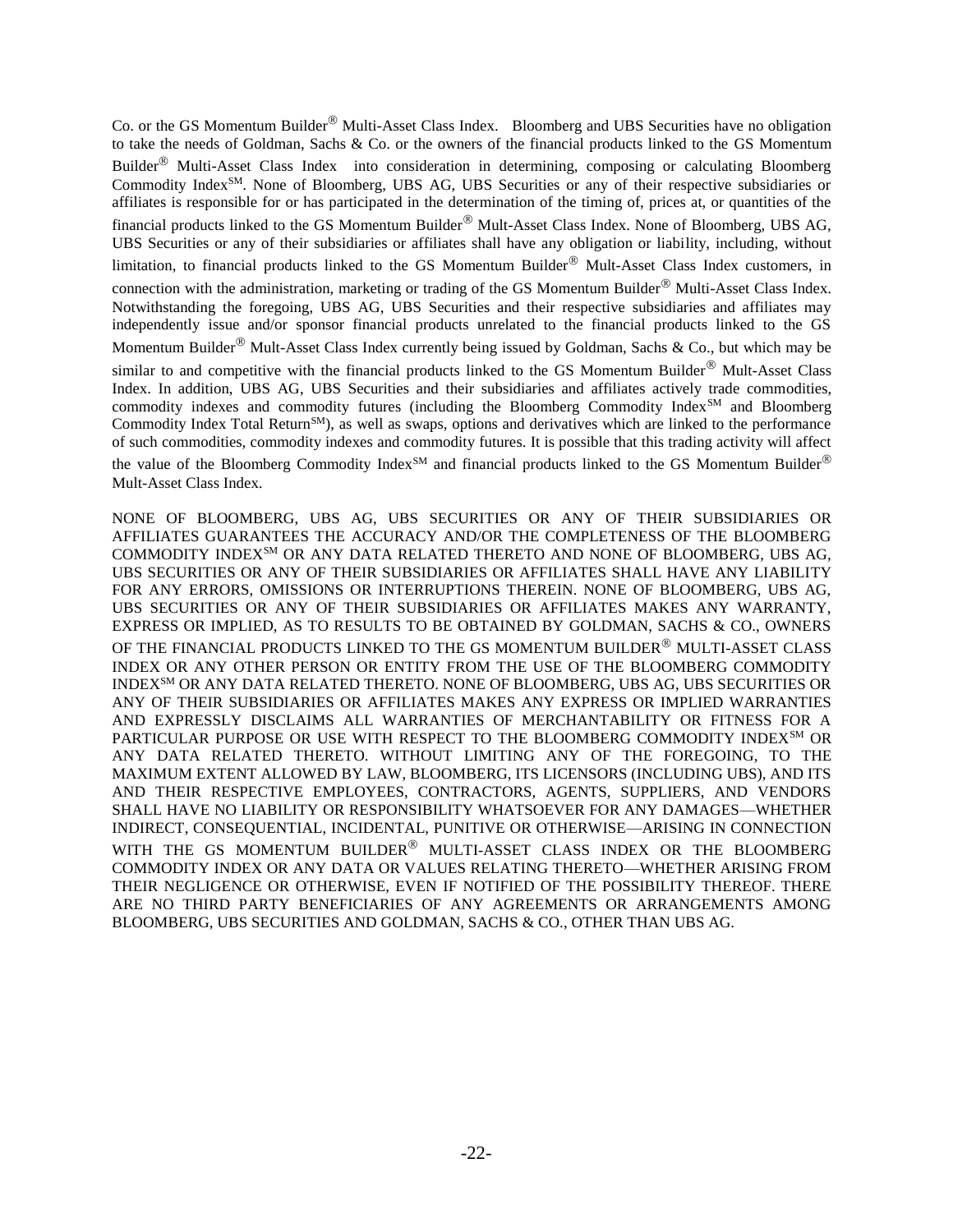Co. or the GS Momentum Builder<sup>®</sup> Multi-Asset Class Index. Bloomberg and UBS Securities have no obligation to take the needs of Goldman, Sachs & Co. or the owners of the financial products linked to the GS Momentum Builder<sup> $<sup>®</sup>$ </sup> Multi-Asset Class Index into consideration in determining, composing or calculating Bloomberg</sup> Commodity Index<sup>SM</sup>. None of Bloomberg, UBS AG, UBS Securities or any of their respective subsidiaries or affiliates is responsible for or has participated in the determination of the timing of, prices at, or quantities of the financial products linked to the GS Momentum Builder<sup>®</sup> Mult-Asset Class Index. None of Bloomberg, UBS AG, UBS Securities or any of their subsidiaries or affiliates shall have any obligation or liability, including, without limitation, to financial products linked to the GS Momentum Builder® Mult-Asset Class Index customers, in connection with the administration, marketing or trading of the GS Momentum Builder $^{\circledR}$  Multi-Asset Class Index. Notwithstanding the foregoing, UBS AG, UBS Securities and their respective subsidiaries and affiliates may independently issue and/or sponsor financial products unrelated to the financial products linked to the GS Momentum Builder<sup>®</sup> Mult-Asset Class Index currently being issued by Goldman, Sachs & Co., but which may be similar to and competitive with the financial products linked to the GS Momentum Builder $^{\circledR}$  Mult-Asset Class

Index. In addition, UBS AG, UBS Securities and their subsidiaries and affiliates actively trade commodities, commodity indexes and commodity futures (including the Bloomberg Commodity Index<sup>SM</sup> and Bloomberg Commodity Index Total Return<sup>SM</sup>), as well as swaps, options and derivatives which are linked to the performance of such commodities, commodity indexes and commodity futures. It is possible that this trading activity will affect

the value of the Bloomberg Commodity Index<sup>SM</sup> and financial products linked to the GS Momentum Builder® Mult-Asset Class Index.

NONE OF BLOOMBERG, UBS AG, UBS SECURITIES OR ANY OF THEIR SUBSIDIARIES OR AFFILIATES GUARANTEES THE ACCURACY AND/OR THE COMPLETENESS OF THE BLOOMBERG COMMODITY INDEXSM OR ANY DATA RELATED THERETO AND NONE OF BLOOMBERG, UBS AG, UBS SECURITIES OR ANY OF THEIR SUBSIDIARIES OR AFFILIATES SHALL HAVE ANY LIABILITY FOR ANY ERRORS, OMISSIONS OR INTERRUPTIONS THEREIN. NONE OF BLOOMBERG, UBS AG, UBS SECURITIES OR ANY OF THEIR SUBSIDIARIES OR AFFILIATES MAKES ANY WARRANTY, EXPRESS OR IMPLIED, AS TO RESULTS TO BE OBTAINED BY GOLDMAN, SACHS & CO., OWNERS OF THE FINANCIAL PRODUCTS LINKED TO THE GS MOMENTUM BUILDER® MULTI-ASSET CLASS INDEX OR ANY OTHER PERSON OR ENTITY FROM THE USE OF THE BLOOMBERG COMMODITY INDEXSM OR ANY DATA RELATED THERETO. NONE OF BLOOMBERG, UBS AG, UBS SECURITIES OR ANY OF THEIR SUBSIDIARIES OR AFFILIATES MAKES ANY EXPRESS OR IMPLIED WARRANTIES AND EXPRESSLY DISCLAIMS ALL WARRANTIES OF MERCHANTABILITY OR FITNESS FOR A PARTICULAR PURPOSE OR USE WITH RESPECT TO THE BLOOMBERG COMMODITY INDEX<sup>SM</sup> OR ANY DATA RELATED THERETO. WITHOUT LIMITING ANY OF THE FOREGOING, TO THE MAXIMUM EXTENT ALLOWED BY LAW, BLOOMBERG, ITS LICENSORS (INCLUDING UBS), AND ITS AND THEIR RESPECTIVE EMPLOYEES, CONTRACTORS, AGENTS, SUPPLIERS, AND VENDORS SHALL HAVE NO LIABILITY OR RESPONSIBILITY WHATSOEVER FOR ANY DAMAGES—WHETHER INDIRECT, CONSEQUENTIAL, INCIDENTAL, PUNITIVE OR OTHERWISE—ARISING IN CONNECTION WITH THE GS MOMENTUM BUILDER<sup>®</sup> MULTI-ASSET CLASS INDEX OR THE BLOOMBERG COMMODITY INDEX OR ANY DATA OR VALUES RELATING THERETO—WHETHER ARISING FROM THEIR NEGLIGENCE OR OTHERWISE, EVEN IF NOTIFIED OF THE POSSIBILITY THEREOF. THERE ARE NO THIRD PARTY BENEFICIARIES OF ANY AGREEMENTS OR ARRANGEMENTS AMONG BLOOMBERG, UBS SECURITIES AND GOLDMAN, SACHS & CO., OTHER THAN UBS AG.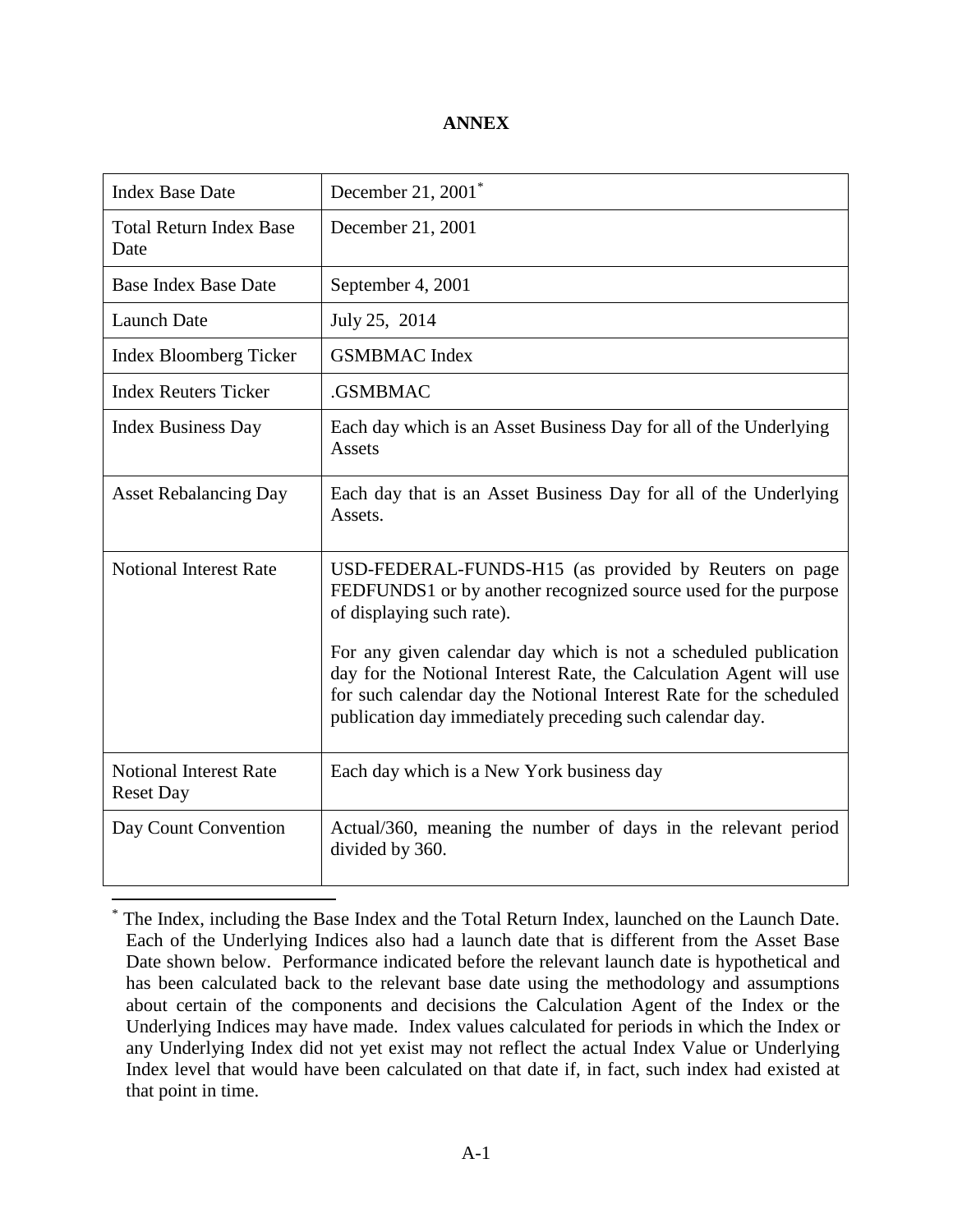#### **ANNEX**

| <b>Index Base Date</b>                            | December 21, $2001$ <sup>*</sup>                                                                                                                                                                                                                                                                                                                                                                                                |
|---------------------------------------------------|---------------------------------------------------------------------------------------------------------------------------------------------------------------------------------------------------------------------------------------------------------------------------------------------------------------------------------------------------------------------------------------------------------------------------------|
| <b>Total Return Index Base</b><br>Date            | December 21, 2001                                                                                                                                                                                                                                                                                                                                                                                                               |
| <b>Base Index Base Date</b>                       | September 4, 2001                                                                                                                                                                                                                                                                                                                                                                                                               |
| <b>Launch Date</b>                                | July 25, 2014                                                                                                                                                                                                                                                                                                                                                                                                                   |
| <b>Index Bloomberg Ticker</b>                     | <b>GSMBMAC</b> Index                                                                                                                                                                                                                                                                                                                                                                                                            |
| <b>Index Reuters Ticker</b>                       | .GSMBMAC                                                                                                                                                                                                                                                                                                                                                                                                                        |
| <b>Index Business Day</b>                         | Each day which is an Asset Business Day for all of the Underlying<br>Assets                                                                                                                                                                                                                                                                                                                                                     |
| <b>Asset Rebalancing Day</b>                      | Each day that is an Asset Business Day for all of the Underlying<br>Assets.                                                                                                                                                                                                                                                                                                                                                     |
| <b>Notional Interest Rate</b>                     | USD-FEDERAL-FUNDS-H15 (as provided by Reuters on page<br>FEDFUNDS1 or by another recognized source used for the purpose<br>of displaying such rate).<br>For any given calendar day which is not a scheduled publication<br>day for the Notional Interest Rate, the Calculation Agent will use<br>for such calendar day the Notional Interest Rate for the scheduled<br>publication day immediately preceding such calendar day. |
| <b>Notional Interest Rate</b><br><b>Reset Day</b> | Each day which is a New York business day                                                                                                                                                                                                                                                                                                                                                                                       |
| Day Count Convention                              | Actual/360, meaning the number of days in the relevant period<br>divided by 360.                                                                                                                                                                                                                                                                                                                                                |

The Index, including the Base Index and the Total Return Index, launched on the Launch Date. Each of the Underlying Indices also had a launch date that is different from the Asset Base Date shown below. Performance indicated before the relevant launch date is hypothetical and has been calculated back to the relevant base date using the methodology and assumptions about certain of the components and decisions the Calculation Agent of the Index or the Underlying Indices may have made. Index values calculated for periods in which the Index or any Underlying Index did not yet exist may not reflect the actual Index Value or Underlying Index level that would have been calculated on that date if, in fact, such index had existed at that point in time.

 $\overline{a}$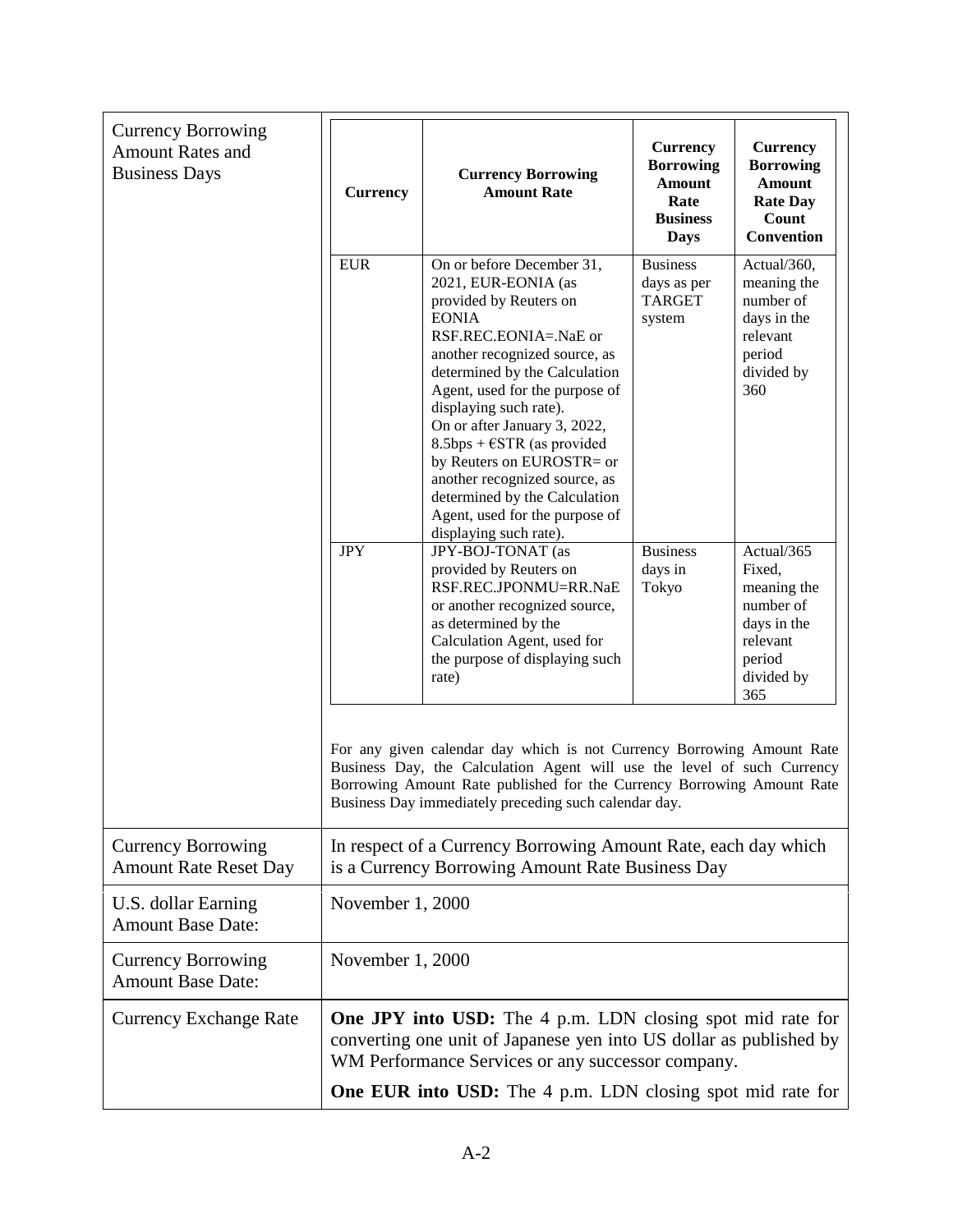| <b>Currency Borrowing</b><br><b>Amount Rates and</b><br><b>Business Days</b> | <b>Currency</b>                                                                                                                                                                              | <b>Currency Borrowing</b><br><b>Amount Rate</b>                                                                                                                                                                                                                                                                                                                                                                                                                                      | <b>Currency</b><br><b>Borrowing</b><br><b>Amount</b><br>Rate<br><b>Business</b><br><b>Days</b> | <b>Currency</b><br><b>Borrowing</b><br><b>Amount</b><br><b>Rate Day</b><br>Count<br>Convention             |  |  |
|------------------------------------------------------------------------------|----------------------------------------------------------------------------------------------------------------------------------------------------------------------------------------------|--------------------------------------------------------------------------------------------------------------------------------------------------------------------------------------------------------------------------------------------------------------------------------------------------------------------------------------------------------------------------------------------------------------------------------------------------------------------------------------|------------------------------------------------------------------------------------------------|------------------------------------------------------------------------------------------------------------|--|--|
|                                                                              | <b>EUR</b>                                                                                                                                                                                   | On or before December 31,<br>2021, EUR-EONIA (as<br>provided by Reuters on<br><b>EONIA</b><br>RSF.REC.EONIA=.NaE or<br>another recognized source, as<br>determined by the Calculation<br>Agent, used for the purpose of<br>displaying such rate).<br>On or after January 3, 2022,<br>8.5bps + $\epsilon$ STR (as provided<br>by Reuters on EUROSTR= or<br>another recognized source, as<br>determined by the Calculation<br>Agent, used for the purpose of<br>displaying such rate). | <b>Business</b><br>days as per<br><b>TARGET</b><br>system                                      | Actual/360,<br>meaning the<br>number of<br>days in the<br>relevant<br>period<br>divided by<br>360          |  |  |
|                                                                              | <b>JPY</b>                                                                                                                                                                                   | JPY-BOJ-TONAT (as<br>provided by Reuters on<br>RSF.REC.JPONMU=RR.NaE<br>or another recognized source,<br>as determined by the<br>Calculation Agent, used for<br>the purpose of displaying such<br>rate)                                                                                                                                                                                                                                                                              | <b>Business</b><br>days in<br>Tokyo                                                            | Actual/365<br>Fixed,<br>meaning the<br>number of<br>days in the<br>relevant<br>period<br>divided by<br>365 |  |  |
|                                                                              |                                                                                                                                                                                              | For any given calendar day which is not Currency Borrowing Amount Rate<br>Business Day, the Calculation Agent will use the level of such Currency<br>Borrowing Amount Rate published for the Currency Borrowing Amount Rate<br>Business Day immediately preceding such calendar day.                                                                                                                                                                                                 |                                                                                                |                                                                                                            |  |  |
| <b>Currency Borrowing</b><br><b>Amount Rate Reset Day</b>                    | In respect of a Currency Borrowing Amount Rate, each day which<br>is a Currency Borrowing Amount Rate Business Day                                                                           |                                                                                                                                                                                                                                                                                                                                                                                                                                                                                      |                                                                                                |                                                                                                            |  |  |
| U.S. dollar Earning<br><b>Amount Base Date:</b>                              | November 1, 2000                                                                                                                                                                             |                                                                                                                                                                                                                                                                                                                                                                                                                                                                                      |                                                                                                |                                                                                                            |  |  |
| <b>Currency Borrowing</b><br><b>Amount Base Date:</b>                        | November 1, 2000                                                                                                                                                                             |                                                                                                                                                                                                                                                                                                                                                                                                                                                                                      |                                                                                                |                                                                                                            |  |  |
| <b>Currency Exchange Rate</b>                                                | <b>One JPY into USD:</b> The 4 p.m. LDN closing spot mid rate for<br>converting one unit of Japanese yen into US dollar as published by<br>WM Performance Services or any successor company. |                                                                                                                                                                                                                                                                                                                                                                                                                                                                                      |                                                                                                |                                                                                                            |  |  |
|                                                                              | One EUR into USD: The 4 p.m. LDN closing spot mid rate for                                                                                                                                   |                                                                                                                                                                                                                                                                                                                                                                                                                                                                                      |                                                                                                |                                                                                                            |  |  |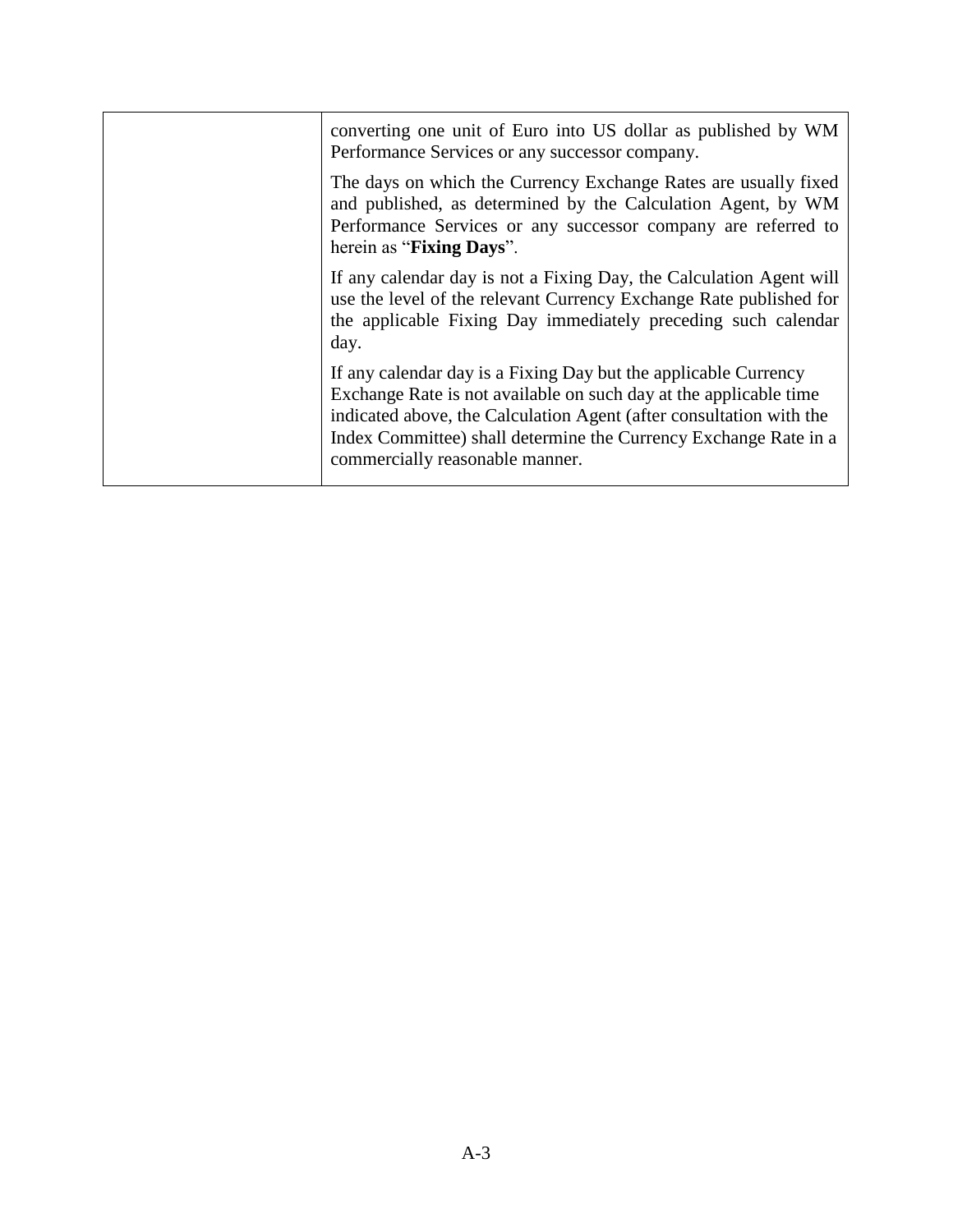| converting one unit of Euro into US dollar as published by WM                                                                                                                                                                                                                                                      |
|--------------------------------------------------------------------------------------------------------------------------------------------------------------------------------------------------------------------------------------------------------------------------------------------------------------------|
| Performance Services or any successor company.                                                                                                                                                                                                                                                                     |
| The days on which the Currency Exchange Rates are usually fixed<br>and published, as determined by the Calculation Agent, by WM<br>Performance Services or any successor company are referred to<br>herein as "Fixing Days".                                                                                       |
| If any calendar day is not a Fixing Day, the Calculation Agent will<br>use the level of the relevant Currency Exchange Rate published for<br>the applicable Fixing Day immediately preceding such calendar<br>day.                                                                                                 |
| If any calendar day is a Fixing Day but the applicable Currency<br>Exchange Rate is not available on such day at the applicable time<br>indicated above, the Calculation Agent (after consultation with the<br>Index Committee) shall determine the Currency Exchange Rate in a<br>commercially reasonable manner. |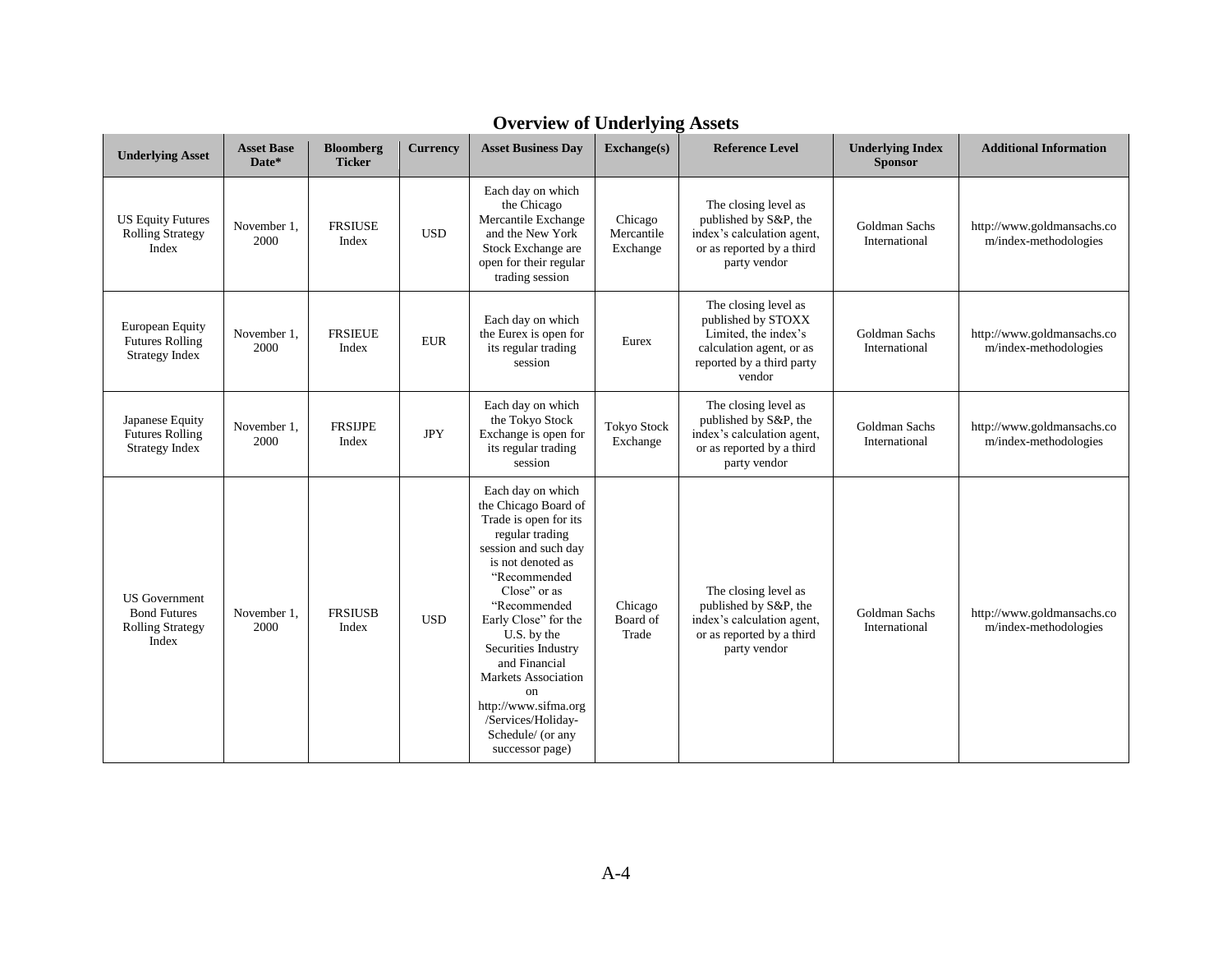| <b>Underlying Asset</b>                                                         | <b>Asset Base</b><br>Date* | <b>Bloomberg</b><br><b>Ticker</b> | Currency    | <b>Asset Business Day</b>                                                                                                                                                                                                                                                                                                                                                                   | $\mathbf{Exchange}(\mathbf{s})$   | <b>Reference Level</b>                                                                                                                | <b>Underlying Index</b><br><b>Sponsor</b> | <b>Additional Information</b>                       |
|---------------------------------------------------------------------------------|----------------------------|-----------------------------------|-------------|---------------------------------------------------------------------------------------------------------------------------------------------------------------------------------------------------------------------------------------------------------------------------------------------------------------------------------------------------------------------------------------------|-----------------------------------|---------------------------------------------------------------------------------------------------------------------------------------|-------------------------------------------|-----------------------------------------------------|
| <b>US Equity Futures</b><br><b>Rolling Strategy</b><br>Index                    | November 1,<br>2000        | <b>FRSIUSE</b><br>Index           | <b>USD</b>  | Each day on which<br>the Chicago<br>Mercantile Exchange<br>and the New York<br>Stock Exchange are<br>open for their regular<br>trading session                                                                                                                                                                                                                                              | Chicago<br>Mercantile<br>Exchange | The closing level as<br>published by S&P, the<br>index's calculation agent,<br>or as reported by a third<br>party vendor              | Goldman Sachs<br>International            | http://www.goldmansachs.co<br>m/index-methodologies |
| <b>European Equity</b><br><b>Futures Rolling</b><br><b>Strategy Index</b>       | November 1,<br>2000        | <b>FRSIEUE</b><br>Index           | ${\rm EUR}$ | Each day on which<br>the Eurex is open for<br>its regular trading<br>session                                                                                                                                                                                                                                                                                                                | Eurex                             | The closing level as<br>published by STOXX<br>Limited, the index's<br>calculation agent, or as<br>reported by a third party<br>vendor | Goldman Sachs<br>International            | http://www.goldmansachs.co<br>m/index-methodologies |
| Japanese Equity<br><b>Futures Rolling</b><br><b>Strategy Index</b>              | November 1,<br>2000        | <b>FRSIJPE</b><br>Index           | <b>JPY</b>  | Each day on which<br>the Tokyo Stock<br>Exchange is open for<br>its regular trading<br>session                                                                                                                                                                                                                                                                                              | <b>Tokyo Stock</b><br>Exchange    | The closing level as<br>published by S&P, the<br>index's calculation agent,<br>or as reported by a third<br>party vendor              | <b>Goldman Sachs</b><br>International     | http://www.goldmansachs.co<br>m/index-methodologies |
| <b>US</b> Government<br><b>Bond Futures</b><br><b>Rolling Strategy</b><br>Index | November 1,<br>2000        | <b>FRSIUSB</b><br>Index           | <b>USD</b>  | Each day on which<br>the Chicago Board of<br>Trade is open for its<br>regular trading<br>session and such day<br>is not denoted as<br>"Recommended<br>Close" or as<br>"Recommended<br>Early Close" for the<br>U.S. by the<br>Securities Industry<br>and Financial<br><b>Markets Association</b><br>on<br>http://www.sifma.org<br>/Services/Holiday-<br>Schedule/ (or any<br>successor page) | Chicago<br>Board of<br>Trade      | The closing level as<br>published by S&P, the<br>index's calculation agent,<br>or as reported by a third<br>party vendor              | <b>Goldman Sachs</b><br>International     | http://www.goldmansachs.co<br>m/index-methodologies |

# **Overview of Underlying Assets**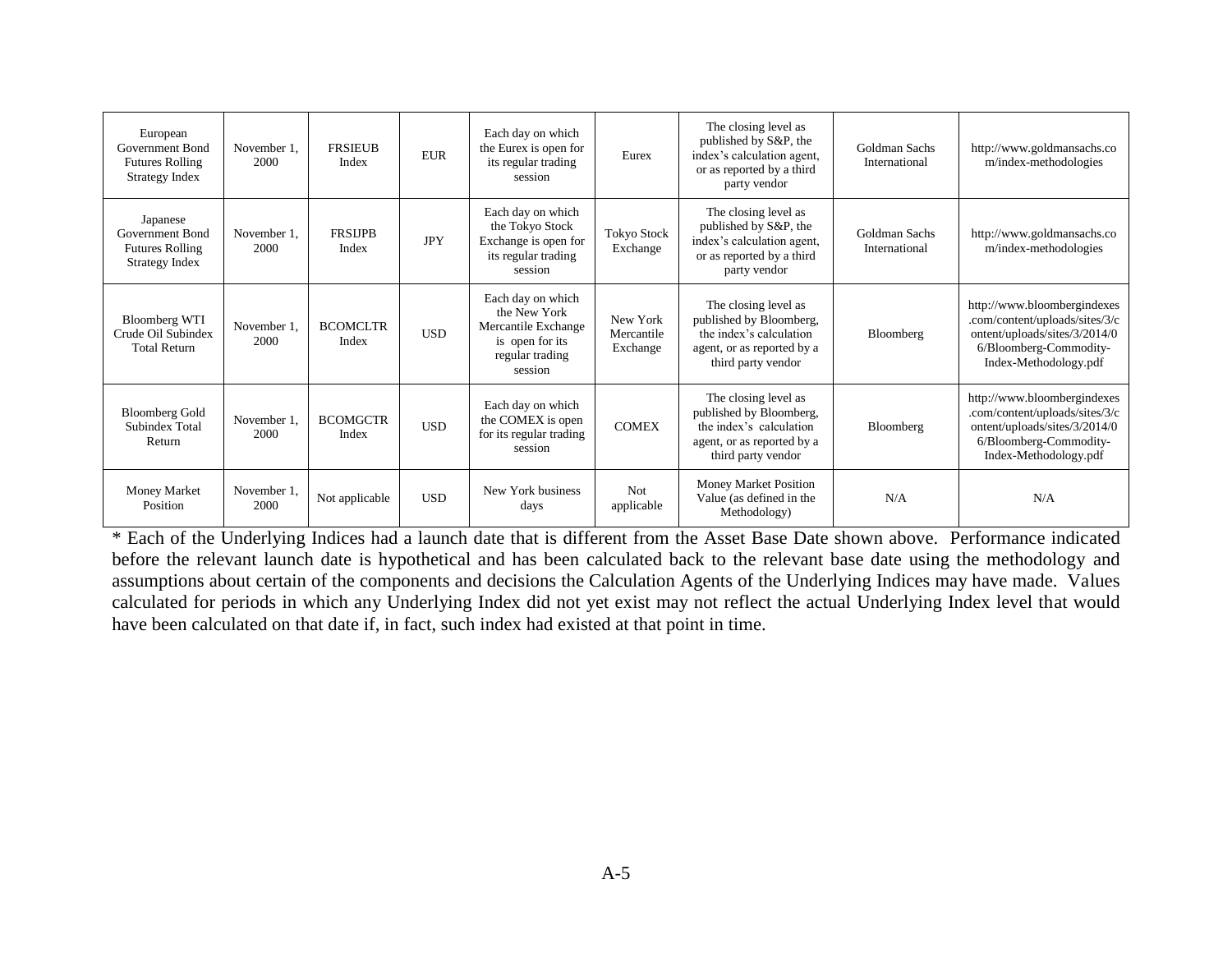| European<br>Government Bond<br><b>Futures Rolling</b><br>Strategy Index | November 1,<br>2000 | <b>FRSIEUB</b><br>Index  | <b>EUR</b> | Each day on which<br>the Eurex is open for<br>its regular trading<br>session                              | Eurex                              | The closing level as<br>published by S&P, the<br>index's calculation agent,<br>or as reported by a third<br>party vendor       | Goldman Sachs<br>International | http://www.goldmansachs.co<br>m/index-methodologies                                                                                               |
|-------------------------------------------------------------------------|---------------------|--------------------------|------------|-----------------------------------------------------------------------------------------------------------|------------------------------------|--------------------------------------------------------------------------------------------------------------------------------|--------------------------------|---------------------------------------------------------------------------------------------------------------------------------------------------|
| Japanese<br>Government Bond<br><b>Futures Rolling</b><br>Strategy Index | November 1.<br>2000 | <b>FRSUPB</b><br>Index   | <b>JPY</b> | Each day on which<br>the Tokyo Stock<br>Exchange is open for<br>its regular trading<br>session            | <b>Tokyo Stock</b><br>Exchange     | The closing level as<br>published by S&P, the<br>index's calculation agent,<br>or as reported by a third<br>party vendor       | Goldman Sachs<br>International | http://www.goldmansachs.co<br>m/index-methodologies                                                                                               |
| <b>Bloomberg WTI</b><br>Crude Oil Subindex<br><b>Total Return</b>       | November 1,<br>2000 | <b>BCOMCLTR</b><br>Index | <b>USD</b> | Each day on which<br>the New York<br>Mercantile Exchange<br>is open for its<br>regular trading<br>session | New York<br>Mercantile<br>Exchange | The closing level as<br>published by Bloomberg,<br>the index's calculation<br>agent, or as reported by a<br>third party vendor | Bloomberg                      | http://www.bloombergindexes<br>.com/content/uploads/sites/3/c<br>ontent/uploads/sites/3/2014/0<br>6/Bloomberg-Commodity-<br>Index-Methodology.pdf |
| <b>Bloomberg Gold</b><br>Subindex Total<br>Return                       | November 1.<br>2000 | <b>BCOMGCTR</b><br>Index | <b>USD</b> | Each day on which<br>the COMEX is open<br>for its regular trading<br>session                              | <b>COMEX</b>                       | The closing level as<br>published by Bloomberg,<br>the index's calculation<br>agent, or as reported by a<br>third party vendor | Bloomberg                      | http://www.bloombergindexes<br>.com/content/uploads/sites/3/c<br>ontent/uploads/sites/3/2014/0<br>6/Bloomberg-Commodity-<br>Index-Methodology.pdf |
| <b>Money Market</b><br>Position                                         | November 1,<br>2000 | Not applicable           | <b>USD</b> | New York business<br>days                                                                                 | Not<br>applicable                  | Money Market Position<br>Value (as defined in the<br>Methodology)                                                              | N/A                            | N/A                                                                                                                                               |

\* Each of the Underlying Indices had a launch date that is different from the Asset Base Date shown above. Performance indicated before the relevant launch date is hypothetical and has been calculated back to the relevant base date using the methodology and assumptions about certain of the components and decisions the Calculation Agents of the Underlying Indices may have made. Values calculated for periods in which any Underlying Index did not yet exist may not reflect the actual Underlying Index level that would have been calculated on that date if, in fact, such index had existed at that point in time.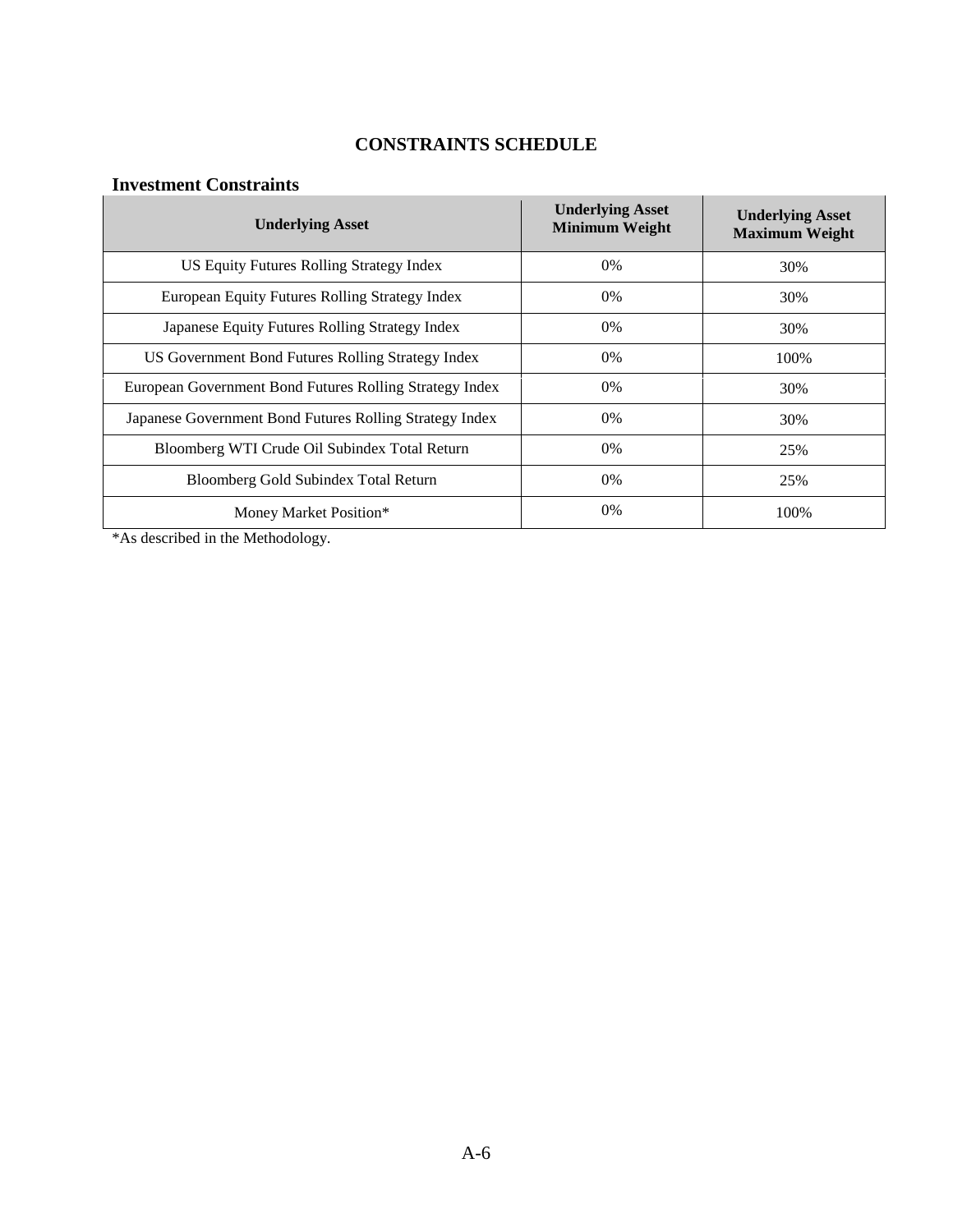# **CONSTRAINTS SCHEDULE**

## **Investment Constraints**

| <b>Underlying Asset</b>                                 | <b>Underlying Asset</b><br><b>Minimum Weight</b> | <b>Underlying Asset</b><br><b>Maximum Weight</b> |
|---------------------------------------------------------|--------------------------------------------------|--------------------------------------------------|
| US Equity Futures Rolling Strategy Index                | 0%                                               | 30%                                              |
| European Equity Futures Rolling Strategy Index          | $0\%$                                            | 30%                                              |
| Japanese Equity Futures Rolling Strategy Index          | $0\%$                                            | 30%                                              |
| US Government Bond Futures Rolling Strategy Index       | $0\%$                                            | 100\%                                            |
| European Government Bond Futures Rolling Strategy Index | $0\%$                                            | 30%                                              |
| Japanese Government Bond Futures Rolling Strategy Index | $0\%$                                            | 30%                                              |
| Bloomberg WTI Crude Oil Subindex Total Return           | $0\%$                                            | 25%                                              |
| Bloomberg Gold Subindex Total Return                    | $0\%$                                            | 25%                                              |
| Money Market Position*                                  | $0\%$                                            | 100%                                             |

\*As described in the Methodology.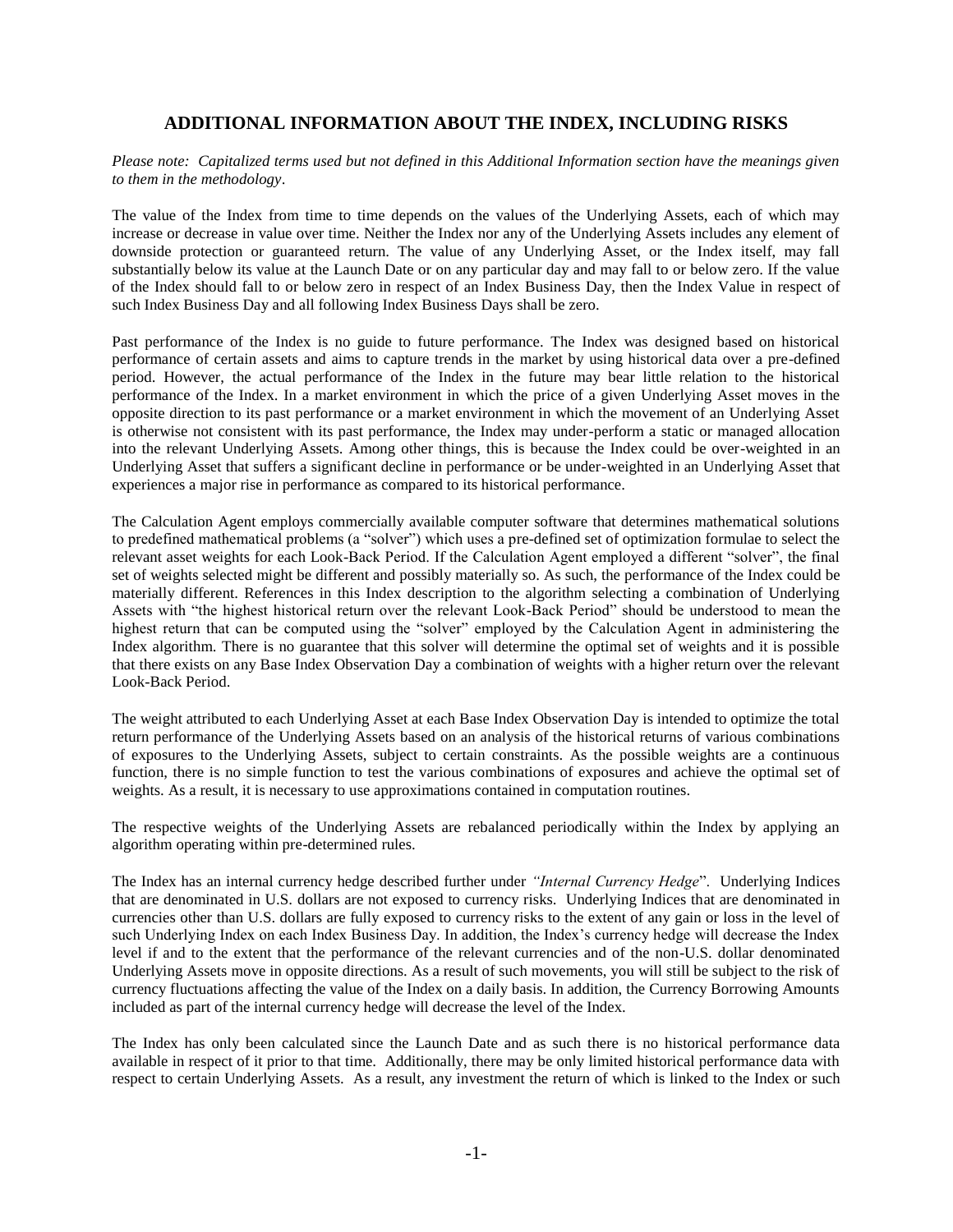#### **ADDITIONAL INFORMATION ABOUT THE INDEX, INCLUDING RISKS**

*Please note: Capitalized terms used but not defined in this Additional Information section have the meanings given to them in the methodology*.

The value of the Index from time to time depends on the values of the Underlying Assets, each of which may increase or decrease in value over time. Neither the Index nor any of the Underlying Assets includes any element of downside protection or guaranteed return. The value of any Underlying Asset, or the Index itself, may fall substantially below its value at the Launch Date or on any particular day and may fall to or below zero. If the value of the Index should fall to or below zero in respect of an Index Business Day, then the Index Value in respect of such Index Business Day and all following Index Business Days shall be zero.

Past performance of the Index is no guide to future performance. The Index was designed based on historical performance of certain assets and aims to capture trends in the market by using historical data over a pre-defined period. However, the actual performance of the Index in the future may bear little relation to the historical performance of the Index. In a market environment in which the price of a given Underlying Asset moves in the opposite direction to its past performance or a market environment in which the movement of an Underlying Asset is otherwise not consistent with its past performance, the Index may under-perform a static or managed allocation into the relevant Underlying Assets. Among other things, this is because the Index could be over-weighted in an Underlying Asset that suffers a significant decline in performance or be under-weighted in an Underlying Asset that experiences a major rise in performance as compared to its historical performance.

The Calculation Agent employs commercially available computer software that determines mathematical solutions to predefined mathematical problems (a "solver") which uses a pre-defined set of optimization formulae to select the relevant asset weights for each Look-Back Period. If the Calculation Agent employed a different "solver", the final set of weights selected might be different and possibly materially so. As such, the performance of the Index could be materially different. References in this Index description to the algorithm selecting a combination of Underlying Assets with "the highest historical return over the relevant Look-Back Period" should be understood to mean the highest return that can be computed using the "solver" employed by the Calculation Agent in administering the Index algorithm. There is no guarantee that this solver will determine the optimal set of weights and it is possible that there exists on any Base Index Observation Day a combination of weights with a higher return over the relevant Look-Back Period.

The weight attributed to each Underlying Asset at each Base Index Observation Day is intended to optimize the total return performance of the Underlying Assets based on an analysis of the historical returns of various combinations of exposures to the Underlying Assets, subject to certain constraints. As the possible weights are a continuous function, there is no simple function to test the various combinations of exposures and achieve the optimal set of weights. As a result, it is necessary to use approximations contained in computation routines.

The respective weights of the Underlying Assets are rebalanced periodically within the Index by applying an algorithm operating within pre-determined rules.

The Index has an internal currency hedge described further under *"Internal Currency Hedge*". Underlying Indices that are denominated in U.S. dollars are not exposed to currency risks. Underlying Indices that are denominated in currencies other than U.S. dollars are fully exposed to currency risks to the extent of any gain or loss in the level of such Underlying Index on each Index Business Day. In addition, the Index's currency hedge will decrease the Index level if and to the extent that the performance of the relevant currencies and of the non-U.S. dollar denominated Underlying Assets move in opposite directions. As a result of such movements, you will still be subject to the risk of currency fluctuations affecting the value of the Index on a daily basis. In addition, the Currency Borrowing Amounts included as part of the internal currency hedge will decrease the level of the Index.

The Index has only been calculated since the Launch Date and as such there is no historical performance data available in respect of it prior to that time. Additionally, there may be only limited historical performance data with respect to certain Underlying Assets. As a result, any investment the return of which is linked to the Index or such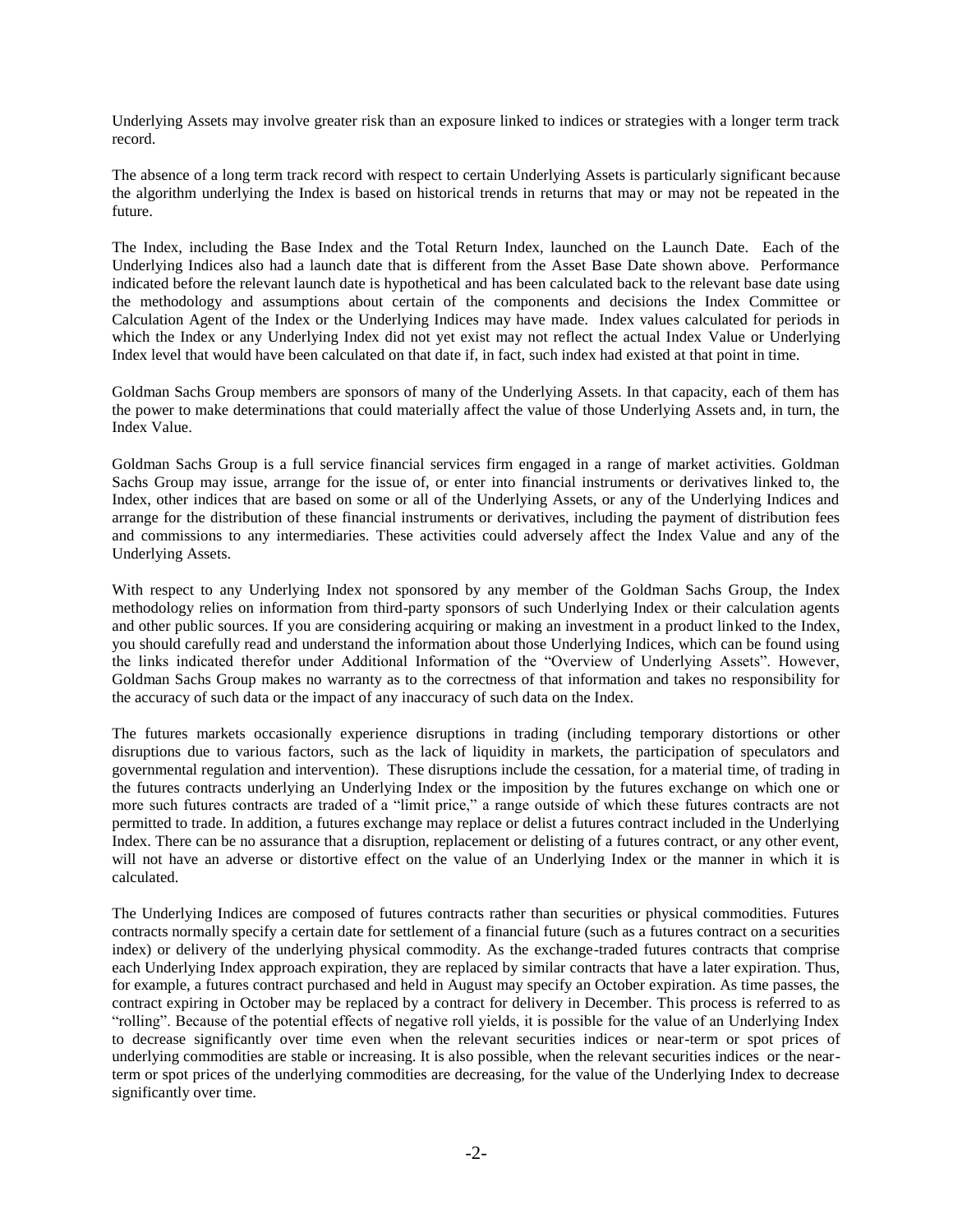Underlying Assets may involve greater risk than an exposure linked to indices or strategies with a longer term track record.

The absence of a long term track record with respect to certain Underlying Assets is particularly significant because the algorithm underlying the Index is based on historical trends in returns that may or may not be repeated in the future.

The Index, including the Base Index and the Total Return Index, launched on the Launch Date. Each of the Underlying Indices also had a launch date that is different from the Asset Base Date shown above. Performance indicated before the relevant launch date is hypothetical and has been calculated back to the relevant base date using the methodology and assumptions about certain of the components and decisions the Index Committee or Calculation Agent of the Index or the Underlying Indices may have made. Index values calculated for periods in which the Index or any Underlying Index did not yet exist may not reflect the actual Index Value or Underlying Index level that would have been calculated on that date if, in fact, such index had existed at that point in time.

Goldman Sachs Group members are sponsors of many of the Underlying Assets. In that capacity, each of them has the power to make determinations that could materially affect the value of those Underlying Assets and, in turn, the Index Value.

Goldman Sachs Group is a full service financial services firm engaged in a range of market activities. Goldman Sachs Group may issue, arrange for the issue of, or enter into financial instruments or derivatives linked to, the Index, other indices that are based on some or all of the Underlying Assets, or any of the Underlying Indices and arrange for the distribution of these financial instruments or derivatives, including the payment of distribution fees and commissions to any intermediaries. These activities could adversely affect the Index Value and any of the Underlying Assets.

With respect to any Underlying Index not sponsored by any member of the Goldman Sachs Group, the Index methodology relies on information from third-party sponsors of such Underlying Index or their calculation agents and other public sources. If you are considering acquiring or making an investment in a product linked to the Index, you should carefully read and understand the information about those Underlying Indices, which can be found using the links indicated therefor under Additional Information of the "Overview of Underlying Assets". However, Goldman Sachs Group makes no warranty as to the correctness of that information and takes no responsibility for the accuracy of such data or the impact of any inaccuracy of such data on the Index.

The futures markets occasionally experience disruptions in trading (including temporary distortions or other disruptions due to various factors, such as the lack of liquidity in markets, the participation of speculators and governmental regulation and intervention). These disruptions include the cessation, for a material time, of trading in the futures contracts underlying an Underlying Index or the imposition by the futures exchange on which one or more such futures contracts are traded of a "limit price," a range outside of which these futures contracts are not permitted to trade. In addition, a futures exchange may replace or delist a futures contract included in the Underlying Index. There can be no assurance that a disruption, replacement or delisting of a futures contract, or any other event, will not have an adverse or distortive effect on the value of an Underlying Index or the manner in which it is calculated.

The Underlying Indices are composed of futures contracts rather than securities or physical commodities. Futures contracts normally specify a certain date for settlement of a financial future (such as a futures contract on a securities index) or delivery of the underlying physical commodity. As the exchange-traded futures contracts that comprise each Underlying Index approach expiration, they are replaced by similar contracts that have a later expiration. Thus, for example, a futures contract purchased and held in August may specify an October expiration. As time passes, the contract expiring in October may be replaced by a contract for delivery in December. This process is referred to as "rolling". Because of the potential effects of negative roll yields, it is possible for the value of an Underlying Index to decrease significantly over time even when the relevant securities indices or near-term or spot prices of underlying commodities are stable or increasing. It is also possible, when the relevant securities indices or the nearterm or spot prices of the underlying commodities are decreasing, for the value of the Underlying Index to decrease significantly over time.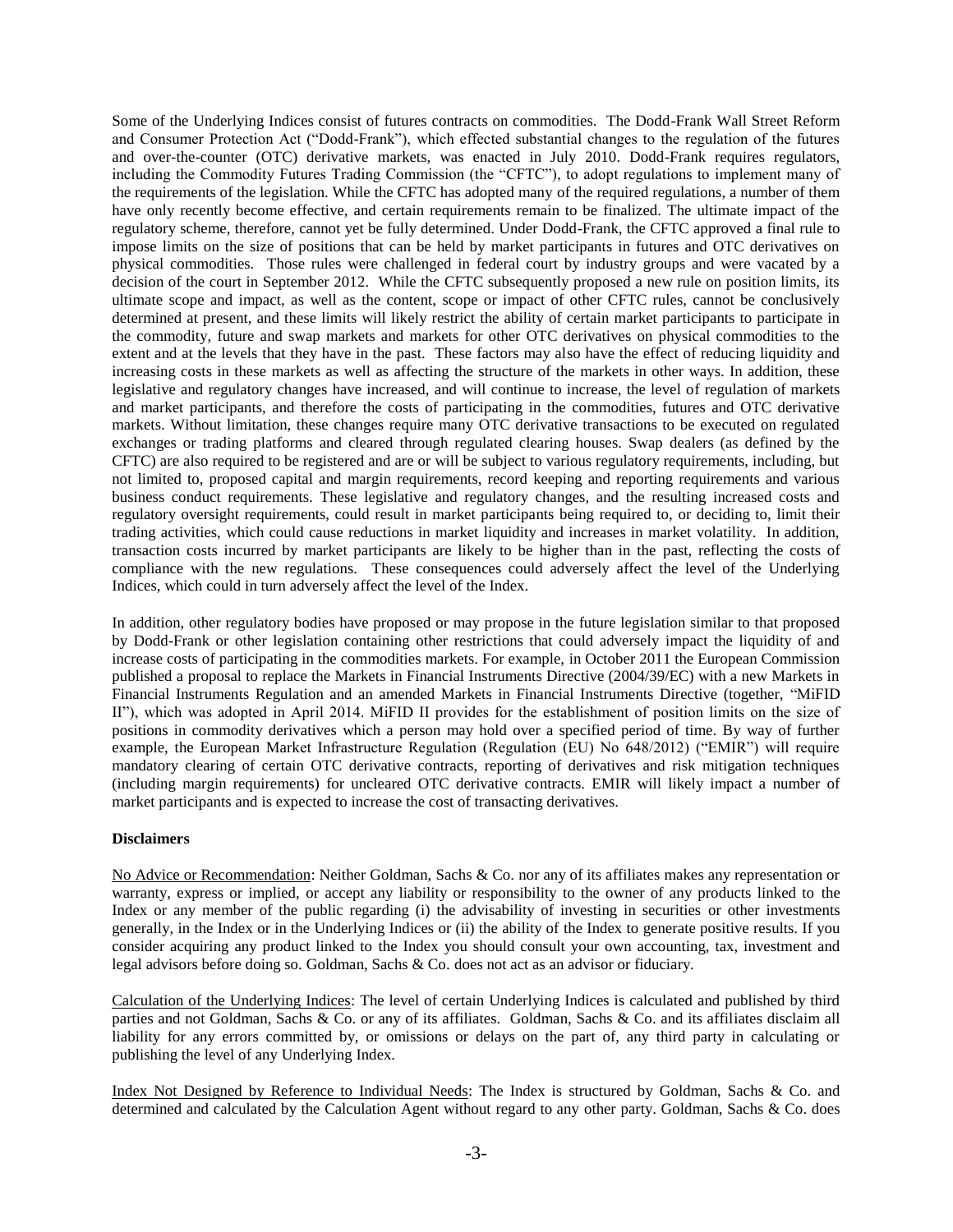Some of the Underlying Indices consist of futures contracts on commodities. The Dodd-Frank Wall Street Reform and Consumer Protection Act ("Dodd-Frank"), which effected substantial changes to the regulation of the futures and over-the-counter (OTC) derivative markets, was enacted in July 2010. Dodd-Frank requires regulators, including the Commodity Futures Trading Commission (the "CFTC"), to adopt regulations to implement many of the requirements of the legislation. While the CFTC has adopted many of the required regulations, a number of them have only recently become effective, and certain requirements remain to be finalized. The ultimate impact of the regulatory scheme, therefore, cannot yet be fully determined. Under Dodd-Frank, the CFTC approved a final rule to impose limits on the size of positions that can be held by market participants in futures and OTC derivatives on physical commodities. Those rules were challenged in federal court by industry groups and were vacated by a decision of the court in September 2012. While the CFTC subsequently proposed a new rule on position limits, its ultimate scope and impact, as well as the content, scope or impact of other CFTC rules, cannot be conclusively determined at present, and these limits will likely restrict the ability of certain market participants to participate in the commodity, future and swap markets and markets for other OTC derivatives on physical commodities to the extent and at the levels that they have in the past. These factors may also have the effect of reducing liquidity and increasing costs in these markets as well as affecting the structure of the markets in other ways. In addition, these legislative and regulatory changes have increased, and will continue to increase, the level of regulation of markets and market participants, and therefore the costs of participating in the commodities, futures and OTC derivative markets. Without limitation, these changes require many OTC derivative transactions to be executed on regulated exchanges or trading platforms and cleared through regulated clearing houses. Swap dealers (as defined by the CFTC) are also required to be registered and are or will be subject to various regulatory requirements, including, but not limited to, proposed capital and margin requirements, record keeping and reporting requirements and various business conduct requirements. These legislative and regulatory changes, and the resulting increased costs and regulatory oversight requirements, could result in market participants being required to, or deciding to, limit their trading activities, which could cause reductions in market liquidity and increases in market volatility. In addition, transaction costs incurred by market participants are likely to be higher than in the past, reflecting the costs of compliance with the new regulations. These consequences could adversely affect the level of the Underlying Indices, which could in turn adversely affect the level of the Index.

In addition, other regulatory bodies have proposed or may propose in the future legislation similar to that proposed by Dodd-Frank or other legislation containing other restrictions that could adversely impact the liquidity of and increase costs of participating in the commodities markets. For example, in October 2011 the European Commission published a proposal to replace the Markets in Financial Instruments Directive (2004/39/EC) with a new Markets in Financial Instruments Regulation and an amended Markets in Financial Instruments Directive (together, "MiFID II"), which was adopted in April 2014. MiFID II provides for the establishment of position limits on the size of positions in commodity derivatives which a person may hold over a specified period of time. By way of further example, the European Market Infrastructure Regulation (Regulation (EU) No 648/2012) ("EMIR") will require mandatory clearing of certain OTC derivative contracts, reporting of derivatives and risk mitigation techniques (including margin requirements) for uncleared OTC derivative contracts. EMIR will likely impact a number of market participants and is expected to increase the cost of transacting derivatives.

#### **Disclaimers**

No Advice or Recommendation: Neither Goldman, Sachs & Co. nor any of its affiliates makes any representation or warranty, express or implied, or accept any liability or responsibility to the owner of any products linked to the Index or any member of the public regarding (i) the advisability of investing in securities or other investments generally, in the Index or in the Underlying Indices or (ii) the ability of the Index to generate positive results. If you consider acquiring any product linked to the Index you should consult your own accounting, tax, investment and legal advisors before doing so. Goldman, Sachs & Co. does not act as an advisor or fiduciary.

Calculation of the Underlying Indices: The level of certain Underlying Indices is calculated and published by third parties and not Goldman, Sachs & Co. or any of its affiliates. Goldman, Sachs & Co. and its affiliates disclaim all liability for any errors committed by, or omissions or delays on the part of, any third party in calculating or publishing the level of any Underlying Index.

Index Not Designed by Reference to Individual Needs: The Index is structured by Goldman, Sachs & Co. and determined and calculated by the Calculation Agent without regard to any other party. Goldman, Sachs & Co. does